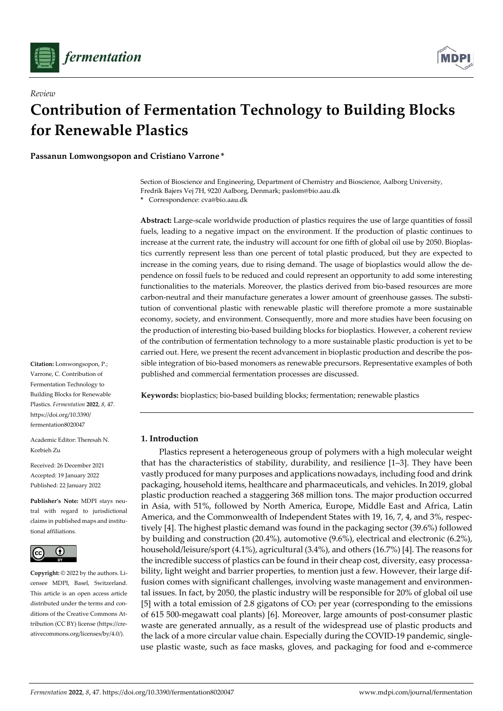

*Review*



# **Contribution of Fermentation Technology to Building Blocks for Renewable Plastics**

**Passanun Lomwongsopon and Cristiano Varrone \***

Section of Bioscience and Engineering, Department of Chemistry and Bioscience, Aalborg University, Fredrik Bajers Vej 7H, 9220 Aalborg, Denmark; paslom@bio.aau.dk

**\*** Correspondence: cva@bio.aau.dk

**Abstract:** Large-scale worldwide production of plastics requires the use of large quantities of fossil fuels, leading to a negative impact on the environment. If the production of plastic continues to increase at the current rate, the industry will account for one fifth of global oil use by 2050. Bioplastics currently represent less than one percent of total plastic produced, but they are expected to increase in the coming years, due to rising demand. The usage of bioplastics would allow the dependence on fossil fuels to be reduced and could represent an opportunity to add some interesting functionalities to the materials. Moreover, the plastics derived from bio-based resources are more carbon-neutral and their manufacture generates a lower amount of greenhouse gasses. The substitution of conventional plastic with renewable plastic will therefore promote a more sustainable economy, society, and environment. Consequently, more and more studies have been focusing on the production of interesting bio-based building blocks for bioplastics. However, a coherent review of the contribution of fermentation technology to a more sustainable plastic production is yet to be carried out. Here, we present the recent advancement in bioplastic production and describe the possible integration of bio-based monomers as renewable precursors. Representative examples of both published and commercial fermentation processes are discussed.

**Keywords:** bioplastics; bio-based building blocks; fermentation; renewable plastics

# **1. Introduction**

Plastics represent a heterogeneous group of polymers with a high molecular weight that has the characteristics of stability, durability, and resilience [1–3]. They have been vastly produced for many purposes and applications nowadays, including food and drink packaging, household items, healthcare and pharmaceuticals, and vehicles. In 2019, global plastic production reached a staggering 368 million tons. The major production occurred in Asia, with 51%, followed by North America, Europe, Middle East and Africa, Latin America, and the Commonwealth of Independent States with 19, 16, 7, 4, and 3%, respectively [4]. The highest plastic demand was found in the packaging sector (39.6%) followed by building and construction (20.4%), automotive (9.6%), electrical and electronic (6.2%), household/leisure/sport (4.1%), agricultural (3.4%), and others (16.7%) [4]. The reasons for the incredible success of plastics can be found in their cheap cost, diversity, easy processability, light weight and barrier properties, to mention just a few. However, their large diffusion comes with significant challenges, involving waste management and environmental issues. In fact, by 2050, the plastic industry will be responsible for 20% of global oil use [5] with a total emission of 2.8 gigatons of CO<sup>2</sup> per year (corresponding to the emissions of 615 500-megawatt coal plants) [6]. Moreover, large amounts of post-consumer plastic waste are generated annually, as a result of the widespread use of plastic products and the lack of a more circular value chain. Especially during the COVID-19 pandemic, singleuse plastic waste, such as face masks, gloves, and packaging for food and e-commerce

**Citation:** Lomwongsopon, P.; Varrone, C. Contribution of Fermentation Technology to Building Blocks for Renewable Plastics. *Fermentation* **2022**, *8*, 47. https://doi.org/10.3390/ fermentation8020047

Academic Editor: Theresah N. Korbieh Zu

Received: 26 December 2021 Accepted: 19 January 2022 Published: 22 January 2022

**Publisher's Note:** MDPI stays neutral with regard to jurisdictional claims in published maps and institutional affiliations.



**Copyright:** © 2022 by the authors. Licensee MDPI, Basel, Switzerland. This article is an open access article distributed under the terms and conditions of the Creative Commons Attribution (CC BY) license (https://creativecommons.org/licenses/by/4.0/).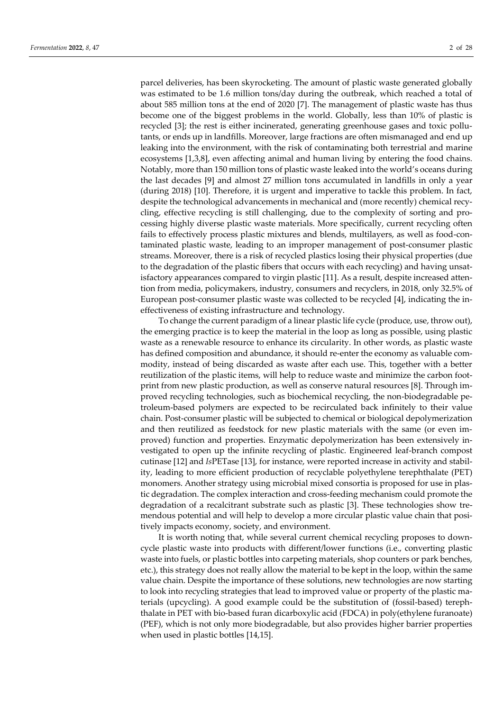parcel deliveries, has been skyrocketing. The amount of plastic waste generated globally was estimated to be 1.6 million tons/day during the outbreak, which reached a total of about 585 million tons at the end of 2020 [7]. The management of plastic waste has thus become one of the biggest problems in the world. Globally, less than 10% of plastic is recycled [3]; the rest is either incinerated, generating greenhouse gases and toxic pollutants, or ends up in landfills. Moreover, large fractions are often mismanaged and end up leaking into the environment, with the risk of contaminating both terrestrial and marine ecosystems [1,3,8], even affecting animal and human living by entering the food chains. Notably, more than 150 million tons of plastic waste leaked into the world's oceans during the last decades [9] and almost 27 million tons accumulated in landfills in only a year (during 2018) [10]. Therefore, it is urgent and imperative to tackle this problem. In fact, despite the technological advancements in mechanical and (more recently) chemical recycling, effective recycling is still challenging, due to the complexity of sorting and processing highly diverse plastic waste materials. More specifically, current recycling often fails to effectively process plastic mixtures and blends, multilayers, as well as food-contaminated plastic waste, leading to an improper management of post-consumer plastic streams. Moreover, there is a risk of recycled plastics losing their physical properties (due to the degradation of the plastic fibers that occurs with each recycling) and having unsatisfactory appearances compared to virgin plastic [11]. As a result, despite increased attention from media, policymakers, industry, consumers and recyclers, in 2018, only 32.5% of European post-consumer plastic waste was collected to be recycled [4], indicating the ineffectiveness of existing infrastructure and technology.

To change the current paradigm of a linear plastic life cycle (produce, use, throw out), the emerging practice is to keep the material in the loop as long as possible, using plastic waste as a renewable resource to enhance its circularity. In other words, as plastic waste has defined composition and abundance, it should re-enter the economy as valuable commodity, instead of being discarded as waste after each use. This, together with a better reutilization of the plastic items, will help to reduce waste and minimize the carbon footprint from new plastic production, as well as conserve natural resources [8]. Through improved recycling technologies, such as biochemical recycling, the non-biodegradable petroleum-based polymers are expected to be recirculated back infinitely to their value chain. Post-consumer plastic will be subjected to chemical or biological depolymerization and then reutilized as feedstock for new plastic materials with the same (or even improved) function and properties. Enzymatic depolymerization has been extensively investigated to open up the infinite recycling of plastic. Engineered leaf-branch compost cutinase [12] and *Is*PETase [13], for instance, were reported increase in activity and stability, leading to more efficient production of recyclable polyethylene terephthalate (PET) monomers. Another strategy using microbial mixed consortia is proposed for use in plastic degradation. The complex interaction and cross-feeding mechanism could promote the degradation of a recalcitrant substrate such as plastic [3]. These technologies show tremendous potential and will help to develop a more circular plastic value chain that positively impacts economy, society, and environment.

It is worth noting that, while several current chemical recycling proposes to downcycle plastic waste into products with different/lower functions (i.e., converting plastic waste into fuels, or plastic bottles into carpeting materials, shop counters or park benches, etc.), this strategy does not really allow the material to be kept in the loop, within the same value chain. Despite the importance of these solutions, new technologies are now starting to look into recycling strategies that lead to improved value or property of the plastic materials (upcycling). A good example could be the substitution of (fossil-based) terephthalate in PET with bio-based furan dicarboxylic acid (FDCA) in poly(ethylene furanoate) (PEF), which is not only more biodegradable, but also provides higher barrier properties when used in plastic bottles [14,15].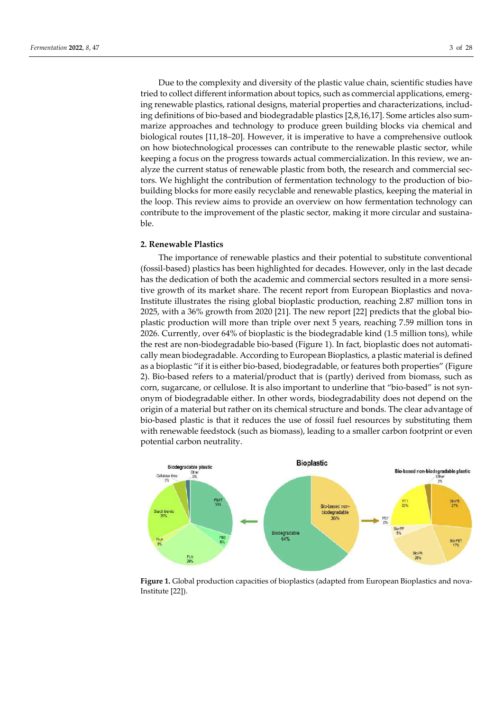Due to the complexity and diversity of the plastic value chain, scientific studies have tried to collect different information about topics, such as commercial applications, emerging renewable plastics, rational designs, material properties and characterizations, including definitions of bio-based and biodegradable plastics [2,8,16,17]. Some articles also summarize approaches and technology to produce green building blocks via chemical and biological routes [11,18–20]. However, it is imperative to have a comprehensive outlook on how biotechnological processes can contribute to the renewable plastic sector, while keeping a focus on the progress towards actual commercialization. In this review, we analyze the current status of renewable plastic from both, the research and commercial sectors. We highlight the contribution of fermentation technology to the production of biobuilding blocks for more easily recyclable and renewable plastics, keeping the material in the loop. This review aims to provide an overview on how fermentation technology can contribute to the improvement of the plastic sector, making it more circular and sustainable.

# **2. Renewable Plastics**

The importance of renewable plastics and their potential to substitute conventional (fossil-based) plastics has been highlighted for decades. However, only in the last decade has the dedication of both the academic and commercial sectors resulted in a more sensitive growth of its market share. The recent report from European Bioplastics and nova-Institute illustrates the rising global bioplastic production, reaching 2.87 million tons in 2025, with a 36% growth from 2020 [21]. The new report [22] predicts that the global bioplastic production will more than triple over next 5 years, reaching 7.59 million tons in 2026. Currently, over 64% of bioplastic is the biodegradable kind (1.5 million tons), while the rest are non-biodegradable bio-based (Figure 1). In fact, bioplastic does not automatically mean biodegradable. According to European Bioplastics, a plastic material is defined as a bioplastic "if it is either bio-based, biodegradable, or features both properties" (Figure 2). Bio-based refers to a material/product that is (partly) derived from biomass, such as corn, sugarcane, or cellulose. It is also important to underline that "bio-based" is not synonym of biodegradable either. In other words, biodegradability does not depend on the origin of a material but rather on its chemical structure and bonds. The clear advantage of bio-based plastic is that it reduces the use of fossil fuel resources by substituting them with renewable feedstock (such as biomass), leading to a smaller carbon footprint or even potential carbon neutrality.



**Figure 1.** Global production capacities of bioplastics (adapted from European Bioplastics and nova-Institute [22]).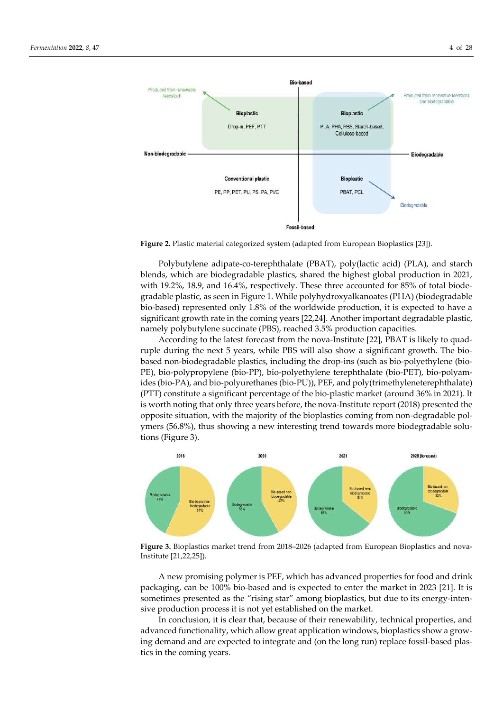

**Figure 2.** Plastic material categorized system (adapted from European Bioplastics [23]).

Polybutylene adipate-co-terephthalate (PBAT), poly(lactic acid) (PLA), and starch blends, which are biodegradable plastics, shared the highest global production in 2021, with 19.2%, 18.9, and 16.4%, respectively. These three accounted for 85% of total biodegradable plastic, as seen in Figure 1. While polyhydroxyalkanoates (PHA) (biodegradable bio-based) represented only 1.8% of the worldwide production, it is expected to have a significant growth rate in the coming years [22,24]. Another important degradable plastic, namely polybutylene succinate (PBS), reached 3.5% production capacities.

According to the latest forecast from the nova-Institute [22], PBAT is likely to quadruple during the next 5 years, while PBS will also show a significant growth. The biobased non-biodegradable plastics, including the drop-ins (such as bio-polyethylene (bio-PE), bio-polypropylene (bio-PP), bio-polyethylene terephthalate (bio-PET), bio-polyamides (bio-PA), and bio-polyurethanes (bio-PU)), PEF, and poly(trimethyleneterephthalate) (PTT) constitute a significant percentage of the bio-plastic market (around 36% in 2021). It is worth noting that only three years before, the nova-Institute report (2018) presented the opposite situation, with the majority of the bioplastics coming from non-degradable polymers (56.8%), thus showing a new interesting trend towards more biodegradable solutions (Figure 3).



**Figure 3.** Bioplastics market trend from 2018–2026 (adapted from European Bioplastics and nova-Institute [21,22,25]).

A new promising polymer is PEF, which has advanced properties for food and drink packaging, can be 100% bio-based and is expected to enter the market in 2023 [21]. It is sometimes presented as the "rising star" among bioplastics, but due to its energy-intensive production process it is not yet established on the market.

In conclusion, it is clear that, because of their renewability, technical properties, and advanced functionality, which allow great application windows, bioplastics show a growing demand and are expected to integrate and (on the long run) replace fossil-based plastics in the coming years.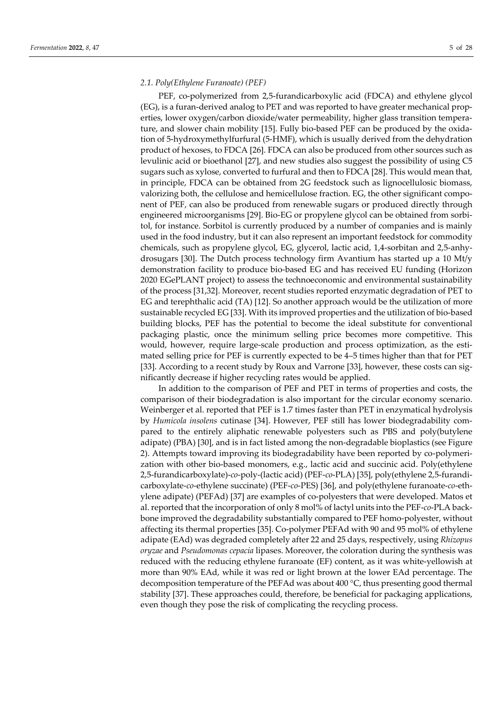# *2.1. Poly(Ethylene Furanoate) (PEF)*

PEF, co-polymerized from 2,5-furandicarboxylic acid (FDCA) and ethylene glycol (EG), is a furan-derived analog to PET and was reported to have greater mechanical properties, lower oxygen/carbon dioxide/water permeability, higher glass transition temperature, and slower chain mobility [15]. Fully bio-based PEF can be produced by the oxidation of 5-hydroxymethylfurfural (5-HMF), which is usually derived from the dehydration product of hexoses, to FDCA [26]. FDCA can also be produced from other sources such as levulinic acid or bioethanol [27], and new studies also suggest the possibility of using C5 sugars such as xylose, converted to furfural and then to FDCA [28]. This would mean that, in principle, FDCA can be obtained from 2G feedstock such as lignocellulosic biomass, valorizing both, the cellulose and hemicellulose fraction. EG, the other significant component of PEF, can also be produced from renewable sugars or produced directly through engineered microorganisms [29]. Bio-EG or propylene glycol can be obtained from sorbitol, for instance. Sorbitol is currently produced by a number of companies and is mainly used in the food industry, but it can also represent an important feedstock for commodity chemicals, such as propylene glycol, EG, glycerol, lactic acid, 1,4-sorbitan and 2,5-anhydrosugars [30]. The Dutch process technology firm Avantium has started up a 10 Mt/y demonstration facility to produce bio-based EG and has received EU funding (Horizon 2020 EGePLANT project) to assess the technoeconomic and environmental sustainability of the process [31,32]. Moreover, recent studies reported enzymatic degradation of PET to EG and terephthalic acid (TA) [12]. So another approach would be the utilization of more sustainable recycled EG [33]. With its improved properties and the utilization of bio-based building blocks, PEF has the potential to become the ideal substitute for conventional packaging plastic, once the minimum selling price becomes more competitive. This would, however, require large-scale production and process optimization, as the estimated selling price for PEF is currently expected to be 4–5 times higher than that for PET [33]. According to a recent study by Roux and Varrone [33], however, these costs can significantly decrease if higher recycling rates would be applied.

In addition to the comparison of PEF and PET in terms of properties and costs, the comparison of their biodegradation is also important for the circular economy scenario. Weinberger et al. reported that PEF is 1.7 times faster than PET in enzymatical hydrolysis by *Humicola insolens* cutinase [34]. However, PEF still has lower biodegradability compared to the entirely aliphatic renewable polyesters such as PBS and poly(butylene adipate) (PBA) [30], and is in fact listed among the non-degradable bioplastics (see Figure 2). Attempts toward improving its biodegradability have been reported by co-polymerization with other bio-based monomers, e.g., lactic acid and succinic acid. Poly(ethylene 2,5-furandicarboxylate)-*co*-poly-(lactic acid) (PEF-*co*-PLA) [35], poly(ethylene 2,5-furandicarboxylate-*co*-ethylene succinate) (PEF-*co*-PES) [36], and poly(ethylene furanoate-*co*-ethylene adipate) (PEFAd) [37] are examples of co-polyesters that were developed. Matos et al. reported that the incorporation of only 8 mol% of lactyl units into the PEF-*co*-PLA backbone improved the degradability substantially compared to PEF homo-polyester, without affecting its thermal properties [35]. Co-polymer PEFAd with 90 and 95 mol% of ethylene adipate (EAd) was degraded completely after 22 and 25 days, respectively, using *Rhizopus oryzae* and *Pseudomonas cepacia* lipases. Moreover, the coloration during the synthesis was reduced with the reducing ethylene furanoate (EF) content, as it was white-yellowish at more than 90% EAd, while it was red or light brown at the lower EAd percentage. The decomposition temperature of the PEFAd was about 400 °C, thus presenting good thermal stability [37]. These approaches could, therefore, be beneficial for packaging applications, even though they pose the risk of complicating the recycling process.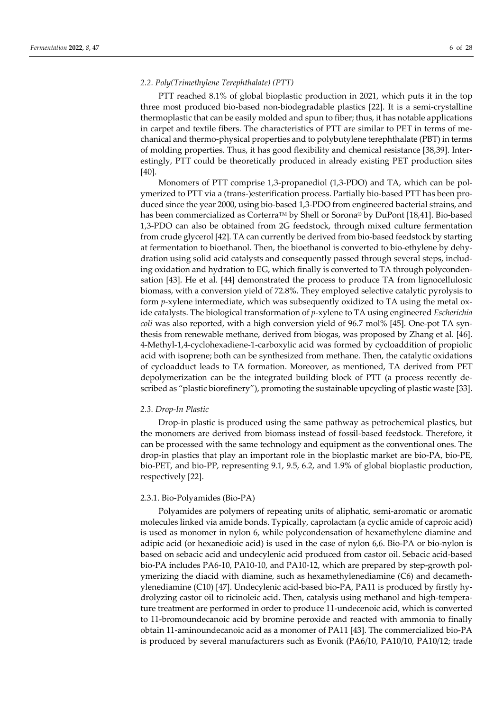# *2.2. Poly(Trimethylene Terephthalate) (PTT)*

PTT reached 8.1% of global bioplastic production in 2021, which puts it in the top three most produced bio-based non-biodegradable plastics [22]. It is a semi-crystalline thermoplastic that can be easily molded and spun to fiber; thus, it has notable applications in carpet and textile fibers. The characteristics of PTT are similar to PET in terms of mechanical and thermo-physical properties and to polybutylene terephthalate (PBT) in terms of molding properties. Thus, it has good flexibility and chemical resistance [38,39]. Interestingly, PTT could be theoretically produced in already existing PET production sites [40].

Monomers of PTT comprise 1,3-propanediol (1,3-PDO) and TA, which can be polymerized to PTT via a (trans-)esterification process. Partially bio-based PTT has been produced since the year 2000, using bio-based 1,3-PDO from engineered bacterial strains, and has been commercialized as Corterra<sup>™</sup> by Shell or Sorona® by DuPont [18,41]. Bio-based 1,3-PDO can also be obtained from 2G feedstock, through mixed culture fermentation from crude glycerol [42]. TA can currently be derived from bio-based feedstock by starting at fermentation to bioethanol. Then, the bioethanol is converted to bio-ethylene by dehydration using solid acid catalysts and consequently passed through several steps, including oxidation and hydration to EG, which finally is converted to TA through polycondensation [43]. He et al. [44] demonstrated the process to produce TA from lignocellulosic biomass, with a conversion yield of 72.8%. They employed selective catalytic pyrolysis to form *p*-xylene intermediate, which was subsequently oxidized to TA using the metal oxide catalysts. The biological transformation of *p*-xylene to TA using engineered *Escherichia coli* was also reported, with a high conversion yield of 96.7 mol% [45]. One-pot TA synthesis from renewable methane, derived from biogas, was proposed by Zhang et al. [46]. 4-Methyl-1,4-cyclohexadiene-1-carboxylic acid was formed by cycloaddition of propiolic acid with isoprene; both can be synthesized from methane. Then, the catalytic oxidations of cycloadduct leads to TA formation. Moreover, as mentioned, TA derived from PET depolymerization can be the integrated building block of PTT (a process recently described as "plastic biorefinery"), promoting the sustainable upcycling of plastic waste [33].

## *2.3. Drop-In Plastic*

Drop-in plastic is produced using the same pathway as petrochemical plastics, but the monomers are derived from biomass instead of fossil-based feedstock. Therefore, it can be processed with the same technology and equipment as the conventional ones. The drop-in plastics that play an important role in the bioplastic market are bio-PA, bio-PE, bio-PET, and bio-PP, representing 9.1, 9.5, 6.2, and 1.9% of global bioplastic production, respectively [22].

# 2.3.1. Bio-Polyamides (Bio-PA)

Polyamides are polymers of repeating units of aliphatic, semi-aromatic or aromatic molecules linked via amide bonds. Typically, caprolactam (a cyclic amide of caproic acid) is used as monomer in nylon 6, while polycondensation of hexamethylene diamine and adipic acid (or hexanedioic acid) is used in the case of nylon 6,6. Bio-PA or bio-nylon is based on sebacic acid and undecylenic acid produced from castor oil. Sebacic acid-based bio-PA includes PA6-10, PA10-10, and PA10-12, which are prepared by step-growth polymerizing the diacid with diamine, such as hexamethylenediamine (C6) and decamethylenediamine (C10) [47]. Undecylenic acid-based bio-PA, PA11 is produced by firstly hydrolyzing castor oil to ricinoleic acid. Then, catalysis using methanol and high-temperature treatment are performed in order to produce 11-undecenoic acid, which is converted to 11-bromoundecanoic acid by bromine peroxide and reacted with ammonia to finally obtain 11-aminoundecanoic acid as a monomer of PA11 [43]. The commercialized bio-PA is produced by several manufacturers such as Evonik (PA6/10, PA10/10, PA10/12; trade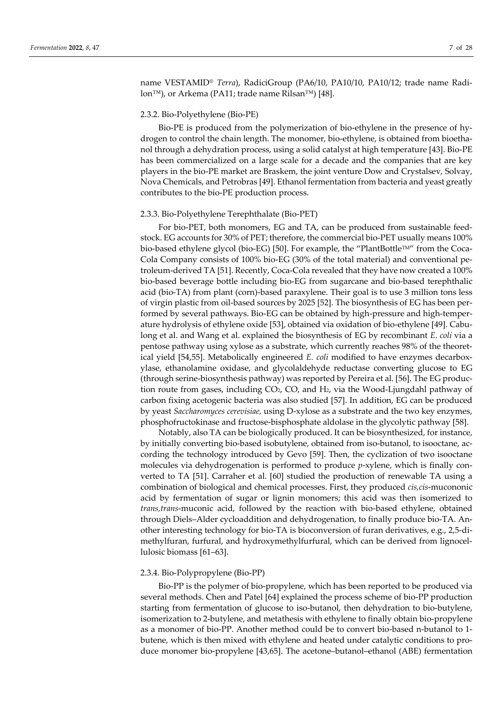name VESTAMID® *Terra*), RadiciGroup (PA6/10, PA10/10, PA10/12; trade name Radilon™), or Arkema (PA11; trade name Rilsan™) [48].

# 2.3.2. Bio-Polyethylene (Bio-PE)

Bio-PE is produced from the polymerization of bio-ethylene in the presence of hydrogen to control the chain length. The monomer, bio-ethylene, is obtained from bioethanol through a dehydration process, using a solid catalyst at high temperature [43]. Bio-PE has been commercialized on a large scale for a decade and the companies that are key players in the bio-PE market are Braskem, the joint venture Dow and Crystalsev, Solvay, Nova Chemicals, and Petrobras [49]. Ethanol fermentation from bacteria and yeast greatly contributes to the bio-PE production process.

# 2.3.3. Bio-Polyethylene Terephthalate (Bio-PET)

For bio-PET, both monomers, EG and TA, can be produced from sustainable feedstock. EG accounts for 30% of PET; therefore, the commercial bio-PET usually means 100% bio-based ethylene glycol (bio-EG) [50]. For example, the "PlantBottleTM" from the Coca-Cola Company consists of 100% bio-EG (30% of the total material) and conventional petroleum-derived TA [51]. Recently, Coca-Cola revealed that they have now created a 100% bio-based beverage bottle including bio-EG from sugarcane and bio-based terephthalic acid (bio-TA) from plant (corn)-based paraxylene. Their goal is to use 3 million tons less of virgin plastic from oil-based sources by 2025 [52]. The biosynthesis of EG has been performed by several pathways. Bio-EG can be obtained by high-pressure and high-temperature hydrolysis of ethylene oxide [53], obtained via oxidation of bio-ethylene [49]. Cabulong et al. and Wang et al. explained the biosynthesis of EG by recombinant *E. coli* via a pentose pathway using xylose as a substrate, which currently reaches 98% of the theoretical yield [54,55]. Metabolically engineered *E. coli* modified to have enzymes decarboxylase, ethanolamine oxidase, and glycolaldehyde reductase converting glucose to EG (through serine-biosynthesis pathway) was reported by Pereira et al. [56]. The EG production route from gases, including CO2, CO, and H2, via the Wood-Ljungdahl pathway of carbon fixing acetogenic bacteria was also studied [57]. In addition, EG can be produced by yeast *Saccharomyces cerevisiae,* using D-xylose as a substrate and the two key enzymes, phosphofructokinase and fructose-bisphosphate aldolase in the glycolytic pathway [58].

Notably, also TA can be biologically produced. It can be biosynthesized, for instance, by initially converting bio-based isobutylene, obtained from iso-butanol, to isooctane, according the technology introduced by Gevo [59]. Then, the cyclization of two isooctane molecules via dehydrogenation is performed to produce *p*-xylene, which is finally converted to TA [51]. Carraher et al. [60] studied the production of renewable TA using a combination of biological and chemical processes. First, they produced *cis,cis*-mucononic acid by fermentation of sugar or lignin monomers; this acid was then isomerized to *trans,trans*-muconic acid, followed by the reaction with bio-based ethylene, obtained through Diels–Alder cycloaddition and dehydrogenation, to finally produce bio-TA. Another interesting technology for bio-TA is bioconversion of furan derivatives, e.g., 2,5-dimethylfuran, furfural, and hydroxymethylfurfural, which can be derived from lignocellulosic biomass [61–63].

### 2.3.4. Bio-Polypropylene (Bio-PP)

Bio-PP is the polymer of bio-propylene, which has been reported to be produced via several methods. Chen and Patel [64] explained the process scheme of bio-PP production starting from fermentation of glucose to iso-butanol, then dehydration to bio-butylene, isomerization to 2-butylene, and metathesis with ethylene to finally obtain bio-propylene as a monomer of bio-PP. Another method could be to convert bio-based n-butanol to 1 butene, which is then mixed with ethylene and heated under catalytic conditions to produce monomer bio-propylene [43,65]. The acetone–butanol–ethanol (ABE) fermentation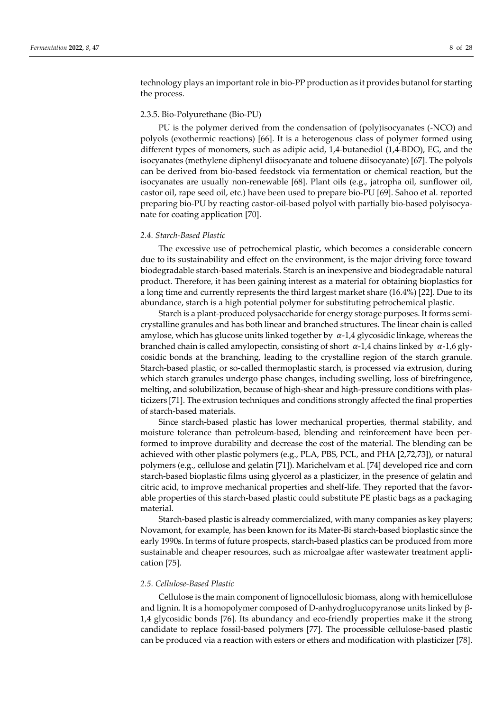technology plays an important role in bio-PP production as it provides butanol for starting the process.

# 2.3.5. Bio-Polyurethane (Bio-PU)

PU is the polymer derived from the condensation of (poly)isocyanates (-NCO) and polyols (exothermic reactions) [66]. It is a heterogenous class of polymer formed using different types of monomers, such as adipic acid, 1,4-butanediol (1,4-BDO), EG, and the isocyanates (methylene diphenyl diisocyanate and toluene diisocyanate) [67]. The polyols can be derived from bio-based feedstock via fermentation or chemical reaction, but the isocyanates are usually non-renewable [68]. Plant oils (e.g., jatropha oil, sunflower oil, castor oil, rape seed oil, etc.) have been used to prepare bio-PU [69]. Sahoo et al. reported preparing bio-PU by reacting castor-oil-based polyol with partially bio-based polyisocyanate for coating application [70].

# *2.4. Starch-Based Plastic*

The excessive use of petrochemical plastic, which becomes a considerable concern due to its sustainability and effect on the environment, is the major driving force toward biodegradable starch-based materials. Starch is an inexpensive and biodegradable natural product. Therefore, it has been gaining interest as a material for obtaining bioplastics for a long time and currently represents the third largest market share (16.4%) [22]. Due to its abundance, starch is a high potential polymer for substituting petrochemical plastic.

Starch is a plant-produced polysaccharide for energy storage purposes. It forms semicrystalline granules and has both linear and branched structures. The linear chain is called amylose, which has glucose units linked together by  $\alpha$ -1,4 glycosidic linkage, whereas the branched chain is called amylopectin, consisting of short  $\alpha$ -1,4 chains linked by  $\alpha$ -1,6 glycosidic bonds at the branching, leading to the crystalline region of the starch granule. Starch-based plastic, or so-called thermoplastic starch, is processed via extrusion, during which starch granules undergo phase changes, including swelling, loss of birefringence, melting, and solubilization, because of high-shear and high-pressure conditions with plasticizers [71]. The extrusion techniques and conditions strongly affected the final properties of starch-based materials.

Since starch-based plastic has lower mechanical properties, thermal stability, and moisture tolerance than petroleum-based, blending and reinforcement have been performed to improve durability and decrease the cost of the material. The blending can be achieved with other plastic polymers (e.g., PLA, PBS, PCL, and PHA [2,72,73]), or natural polymers (e.g., cellulose and gelatin [71]). Marichelvam et al. [74] developed rice and corn starch-based bioplastic films using glycerol as a plasticizer, in the presence of gelatin and citric acid, to improve mechanical properties and shelf-life. They reported that the favorable properties of this starch-based plastic could substitute PE plastic bags as a packaging material.

Starch-based plastic is already commercialized, with many companies as key players; Novamont, for example, has been known for its Mater-Bi starch-based bioplastic since the early 1990s. In terms of future prospects, starch-based plastics can be produced from more sustainable and cheaper resources, such as microalgae after wastewater treatment application [75].

# *2.5. Cellulose-Based Plastic*

Cellulose is the main component of lignocellulosic biomass, along with hemicellulose and lignin. It is a homopolymer composed of D-anhydroglucopyranose units linked by β-1,4 glycosidic bonds [76]. Its abundancy and eco-friendly properties make it the strong candidate to replace fossil-based polymers [77]. The processible cellulose-based plastic can be produced via a reaction with esters or ethers and modification with plasticizer [78].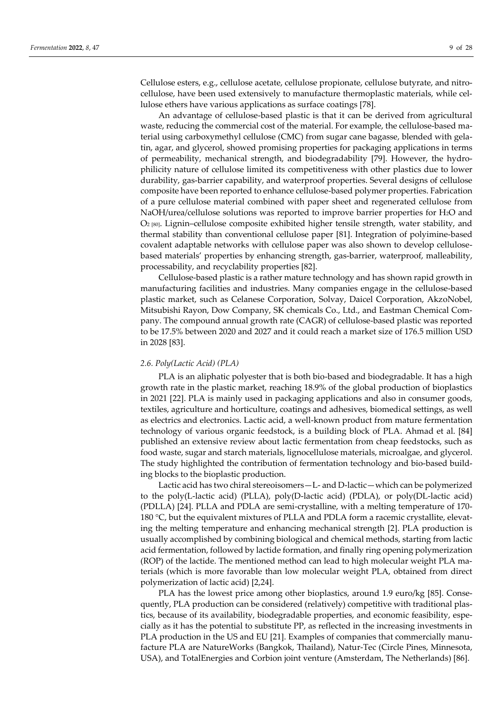Cellulose esters, e.g., cellulose acetate, cellulose propionate, cellulose butyrate, and nitrocellulose, have been used extensively to manufacture thermoplastic materials, while cellulose ethers have various applications as surface coatings [78].

An advantage of cellulose-based plastic is that it can be derived from agricultural waste, reducing the commercial cost of the material. For example, the cellulose-based material using carboxymethyl cellulose (CMC) from sugar cane bagasse, blended with gelatin, agar, and glycerol, showed promising properties for packaging applications in terms of permeability, mechanical strength, and biodegradability [79]. However, the hydrophilicity nature of cellulose limited its competitiveness with other plastics due to lower durability, gas-barrier capability, and waterproof properties. Several designs of cellulose composite have been reported to enhance cellulose-based polymer properties. Fabrication of a pure cellulose material combined with paper sheet and regenerated cellulose from NaOH/urea/cellulose solutions was reported to improve barrier properties for H2O and O2 [80]. Lignin–cellulose composite exhibited higher tensile strength, water stability, and thermal stability than conventional cellulose paper [81]. Integration of polyimine-based covalent adaptable networks with cellulose paper was also shown to develop cellulosebased materials' properties by enhancing strength, gas-barrier, waterproof, malleability, processability, and recyclability properties [82].

Cellulose-based plastic is a rather mature technology and has shown rapid growth in manufacturing facilities and industries. Many companies engage in the cellulose-based plastic market, such as Celanese Corporation, Solvay, Daicel Corporation, AkzoNobel, Mitsubishi Rayon, Dow Company, SK chemicals Co., Ltd., and Eastman Chemical Company. The compound annual growth rate (CAGR) of cellulose-based plastic was reported to be 17.5% between 2020 and 2027 and it could reach a market size of 176.5 million USD in 2028 [83].

# *2.6. Poly(Lactic Acid) (PLA)*

PLA is an aliphatic polyester that is both bio-based and biodegradable. It has a high growth rate in the plastic market, reaching 18.9% of the global production of bioplastics in 2021 [22]. PLA is mainly used in packaging applications and also in consumer goods, textiles, agriculture and horticulture, coatings and adhesives, biomedical settings, as well as electrics and electronics. Lactic acid, a well-known product from mature fermentation technology of various organic feedstock, is a building block of PLA. Ahmad et al. [84] published an extensive review about lactic fermentation from cheap feedstocks, such as food waste, sugar and starch materials, lignocellulose materials, microalgae, and glycerol. The study highlighted the contribution of fermentation technology and bio-based building blocks to the bioplastic production.

Lactic acid has two chiral stereoisomers—L- and D-lactic—which can be polymerized to the poly(L-lactic acid) (PLLA), poly(D-lactic acid) (PDLA), or poly(DL-lactic acid) (PDLLA) [24]. PLLA and PDLA are semi-crystalline, with a melting temperature of 170- 180 °C, but the equivalent mixtures of PLLA and PDLA form a racemic crystallite, elevating the melting temperature and enhancing mechanical strength [2]. PLA production is usually accomplished by combining biological and chemical methods, starting from lactic acid fermentation, followed by lactide formation, and finally ring opening polymerization (ROP) of the lactide. The mentioned method can lead to high molecular weight PLA materials (which is more favorable than low molecular weight PLA, obtained from direct polymerization of lactic acid) [2,24].

PLA has the lowest price among other bioplastics, around 1.9 euro/kg [85]. Consequently, PLA production can be considered (relatively) competitive with traditional plastics, because of its availability, biodegradable properties, and economic feasibility, especially as it has the potential to substitute PP, as reflected in the increasing investments in PLA production in the US and EU [21]. Examples of companies that commercially manufacture PLA are NatureWorks (Bangkok, Thailand), Natur-Tec (Circle Pines, Minnesota, USA), and TotalEnergies and Corbion joint venture (Amsterdam, The Netherlands) [86].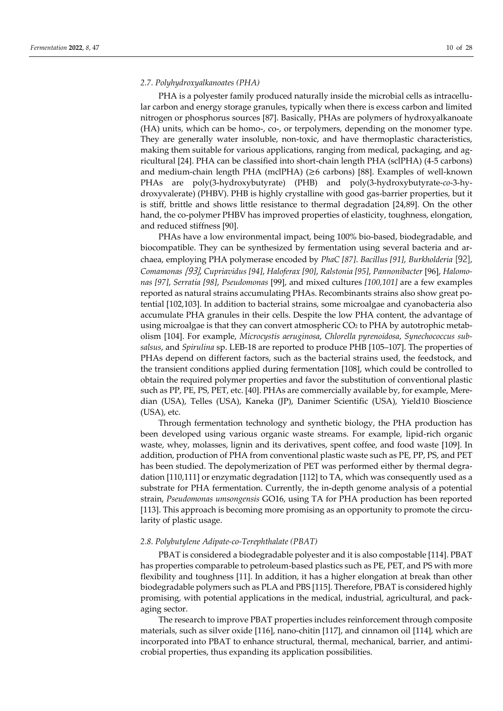## *2.7. Polyhydroxyalkanoates (PHA)*

PHA is a polyester family produced naturally inside the microbial cells as intracellular carbon and energy storage granules, typically when there is excess carbon and limited nitrogen or phosphorus sources [87]. Basically, PHAs are polymers of hydroxyalkanoate (HA) units, which can be homo-, co-, or terpolymers, depending on the monomer type. They are generally water insoluble, non-toxic, and have thermoplastic characteristics, making them suitable for various applications, ranging from medical, packaging, and agricultural [24]. PHA can be classified into short-chain length PHA (sclPHA) (4-5 carbons) and medium-chain length PHA (mclPHA) ( $\geq 6$  carbons) [88]. Examples of well-known PHAs are poly(3-hydroxybutyrate) (PHB) and poly(3-hydroxybutyrate-*co*-3-hydroxyvalerate) (PHBV). PHB is highly crystalline with good gas-barrier properties, but it is stiff, brittle and shows little resistance to thermal degradation [24,89]. On the other hand, the co-polymer PHBV has improved properties of elasticity, toughness, elongation, and reduced stiffness [90].

PHAs have a low environmental impact, being 100% bio-based, biodegradable, and biocompatible. They can be synthesized by fermentation using several bacteria and archaea, employing PHA polymerase encoded by *PhaC [87]*. *Bacillus [91]*, *Burkholderia* [92], *Comamonas* [93], *Cupriavidus [94]*, *Haloferax [90]*, *Ralstonia [95]*, *Pannonibacter* [96], *Halomonas [97]*, *Serratia [98]*, *Pseudomonas* [99], and mixed cultures *[100,101]* are a few examples reported as natural strains accumulating PHAs. Recombinants strains also show great potential [102,103]. In addition to bacterial strains, some microalgae and cyanobacteria also accumulate PHA granules in their cells. Despite the low PHA content, the advantage of using microalgae is that they can convert atmospheric  $CO<sub>2</sub>$  to PHA by autotrophic metabolism [104]. For example, *Microcystis aeruginosa*, *Chlorella pyrenoidosa*, *Synechococcus subsalsus*, and *Spirulina* sp. LEB-18 are reported to produce PHB [105–107]. The properties of PHAs depend on different factors, such as the bacterial strains used, the feedstock, and the transient conditions applied during fermentation [108], which could be controlled to obtain the required polymer properties and favor the substitution of conventional plastic such as PP, PE, PS, PET, etc. [40]. PHAs are commercially available by, for example, Meredian (USA), Telles (USA), Kaneka (JP), Danimer Scientific (USA), Yield10 Bioscience (USA), etc.

Through fermentation technology and synthetic biology, the PHA production has been developed using various organic waste streams. For example, lipid-rich organic waste, whey, molasses, lignin and its derivatives, spent coffee, and food waste [109]. In addition, production of PHA from conventional plastic waste such as PE, PP, PS, and PET has been studied. The depolymerization of PET was performed either by thermal degradation [110,111] or enzymatic degradation [112] to TA, which was consequently used as a substrate for PHA fermentation. Currently, the in-depth genome analysis of a potential strain, *Pseudomonas umsongensis* GO16, using TA for PHA production has been reported [113]. This approach is becoming more promising as an opportunity to promote the circularity of plastic usage.

### *2.8. Polybutylene Adipate-co-Terephthalate (PBAT)*

PBAT is considered a biodegradable polyester and it is also compostable [114]. PBAT has properties comparable to petroleum-based plastics such as PE, PET, and PS with more flexibility and toughness [11]. In addition, it has a higher elongation at break than other biodegradable polymers such as PLA and PBS [115]. Therefore, PBAT is considered highly promising, with potential applications in the medical, industrial, agricultural, and packaging sector.

The research to improve PBAT properties includes reinforcement through composite materials, such as silver oxide [116], nano-chitin [117], and cinnamon oil [114], which are incorporated into PBAT to enhance structural, thermal, mechanical, barrier, and antimicrobial properties, thus expanding its application possibilities.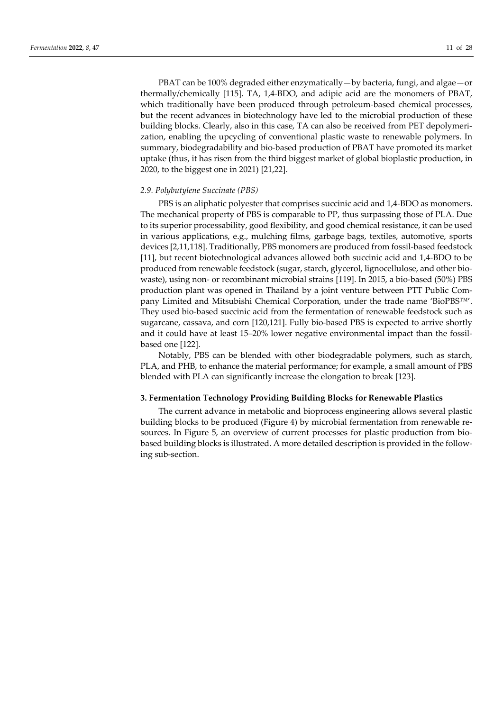PBAT can be 100% degraded either enzymatically—by bacteria, fungi, and algae—or thermally/chemically [115]. TA, 1,4-BDO, and adipic acid are the monomers of PBAT, which traditionally have been produced through petroleum-based chemical processes, but the recent advances in biotechnology have led to the microbial production of these building blocks. Clearly, also in this case, TA can also be received from PET depolymerization, enabling the upcycling of conventional plastic waste to renewable polymers. In summary, biodegradability and bio-based production of PBAT have promoted its market uptake (thus, it has risen from the third biggest market of global bioplastic production, in 2020, to the biggest one in 2021) [21,22].

# *2.9. Polybutylene Succinate (PBS)*

PBS is an aliphatic polyester that comprises succinic acid and 1,4-BDO as monomers. The mechanical property of PBS is comparable to PP, thus surpassing those of PLA. Due to its superior processability, good flexibility, and good chemical resistance, it can be used in various applications, e.g., mulching films, garbage bags, textiles, automotive, sports devices [2,11,118]. Traditionally, PBS monomers are produced from fossil-based feedstock [11], but recent biotechnological advances allowed both succinic acid and 1,4-BDO to be produced from renewable feedstock (sugar, starch, glycerol, lignocellulose, and other biowaste), using non- or recombinant microbial strains [119]. In 2015, a bio-based (50%) PBS production plant was opened in Thailand by a joint venture between PTT Public Company Limited and Mitsubishi Chemical Corporation, under the trade name 'BioPBS™'. They used bio-based succinic acid from the fermentation of renewable feedstock such as sugarcane, cassava, and corn [120,121]. Fully bio-based PBS is expected to arrive shortly and it could have at least 15–20% lower negative environmental impact than the fossilbased one [122].

Notably, PBS can be blended with other biodegradable polymers, such as starch, PLA, and PHB, to enhance the material performance; for example, a small amount of PBS blended with PLA can significantly increase the elongation to break [123].

# **3. Fermentation Technology Providing Building Blocks for Renewable Plastics**

The current advance in metabolic and bioprocess engineering allows several plastic building blocks to be produced (Figure 4) by microbial fermentation from renewable resources. In Figure 5, an overview of current processes for plastic production from biobased building blocks is illustrated. A more detailed description is provided in the following sub-section.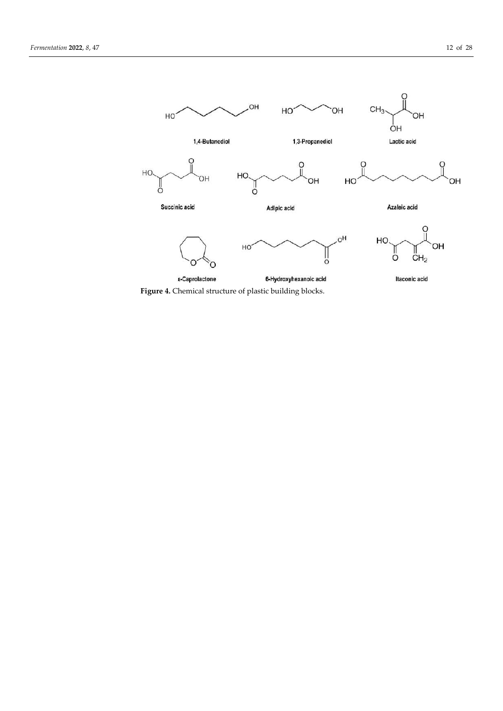

**Figure 4.** Chemical structure of plastic building blocks.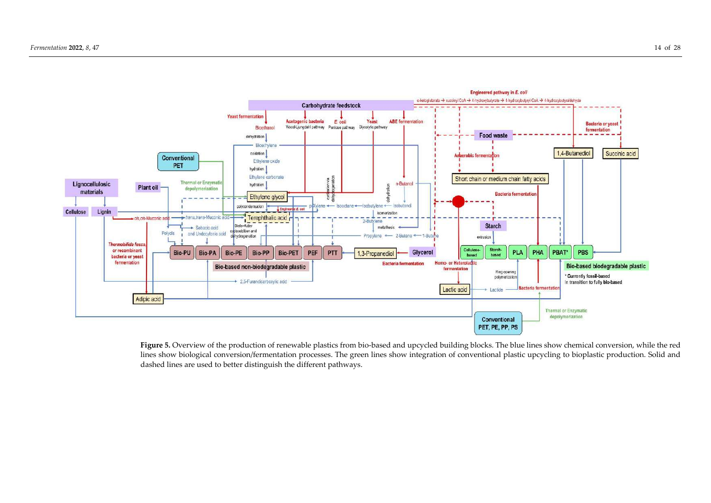

Figure 5. Overview of the production of renewable plastics from bio-based and upcycled building blocks. The blue lines show chemical conversion, while the red lines show biological conversion/fermentation processes. The green lines show integration of conventional plastic upcycling to bioplastic production. Solid and dashed lines are used to better distinguish the different pathways.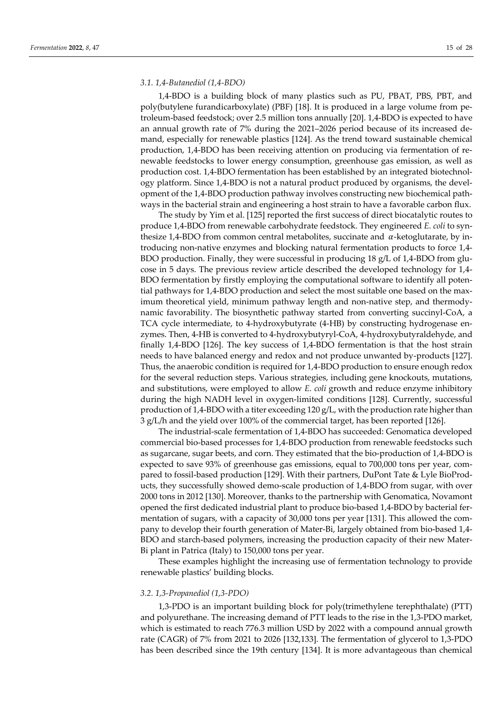## *3.1. 1,4-Butanediol (1,4-BDO)*

1,4-BDO is a building block of many plastics such as PU, PBAT, PBS, PBT, and poly(butylene furandicarboxylate) (PBF) [18]. It is produced in a large volume from petroleum-based feedstock; over 2.5 million tons annually [20]. 1,4-BDO is expected to have an annual growth rate of 7% during the 2021–2026 period because of its increased demand, especially for renewable plastics [124]. As the trend toward sustainable chemical production, 1,4-BDO has been receiving attention on producing via fermentation of renewable feedstocks to lower energy consumption, greenhouse gas emission, as well as production cost. 1,4-BDO fermentation has been established by an integrated biotechnology platform. Since 1,4-BDO is not a natural product produced by organisms, the development of the 1,4-BDO production pathway involves constructing new biochemical pathways in the bacterial strain and engineering a host strain to have a favorable carbon flux.

The study by Yim et al. [125] reported the first success of direct biocatalytic routes to produce 1,4-BDO from renewable carbohydrate feedstock. They engineered *E. coli* to synthesize 1,4-BDO from common central metabolites, succinate and  $\alpha$ -ketoglutarate, by introducing non-native enzymes and blocking natural fermentation products to force 1,4- BDO production. Finally, they were successful in producing 18 g/L of 1,4-BDO from glucose in 5 days. The previous review article described the developed technology for 1,4- BDO fermentation by firstly employing the computational software to identify all potential pathways for 1,4-BDO production and select the most suitable one based on the maximum theoretical yield, minimum pathway length and non-native step, and thermodynamic favorability. The biosynthetic pathway started from converting succinyl-CoA, a TCA cycle intermediate, to 4-hydroxybutyrate (4-HB) by constructing hydrogenase enzymes. Then, 4-HB is converted to 4-hydroxybutyryl-CoA, 4-hydroxybutyraldehyde, and finally 1,4-BDO [126]. The key success of 1,4-BDO fermentation is that the host strain needs to have balanced energy and redox and not produce unwanted by-products [127]. Thus, the anaerobic condition is required for 1,4-BDO production to ensure enough redox for the several reduction steps. Various strategies, including gene knockouts, mutations, and substitutions, were employed to allow *E. coli* growth and reduce enzyme inhibitory during the high NADH level in oxygen-limited conditions [128]. Currently, successful production of 1,4-BDO with a titer exceeding 120 g/L, with the production rate higher than 3 g/L/h and the yield over 100% of the commercial target, has been reported [126].

The industrial-scale fermentation of 1,4-BDO has succeeded: Genomatica developed commercial bio-based processes for 1,4-BDO production from renewable feedstocks such as sugarcane, sugar beets, and corn. They estimated that the bio-production of 1,4-BDO is expected to save 93% of greenhouse gas emissions, equal to 700,000 tons per year, compared to fossil-based production [129]. With their partners, DuPont Tate & Lyle BioProducts, they successfully showed demo-scale production of 1,4-BDO from sugar, with over 2000 tons in 2012 [130]. Moreover, thanks to the partnership with Genomatica, Novamont opened the first dedicated industrial plant to produce bio-based 1,4-BDO by bacterial fermentation of sugars, with a capacity of 30,000 tons per year [131]. This allowed the company to develop their fourth generation of Mater-Bi, largely obtained from bio-based 1,4- BDO and starch-based polymers, increasing the production capacity of their new Mater-Bi plant in Patrica (Italy) to 150,000 tons per year.

These examples highlight the increasing use of fermentation technology to provide renewable plastics' building blocks.

### *3.2. 1,3-Propanediol (1,3-PDO)*

1,3-PDO is an important building block for poly(trimethylene terephthalate) (PTT) and polyurethane. The increasing demand of PTT leads to the rise in the 1,3-PDO market, which is estimated to reach 776.3 million USD by 2022 with a compound annual growth rate (CAGR) of 7% from 2021 to 2026 [132,133]. The fermentation of glycerol to 1,3-PDO has been described since the 19th century [134]. It is more advantageous than chemical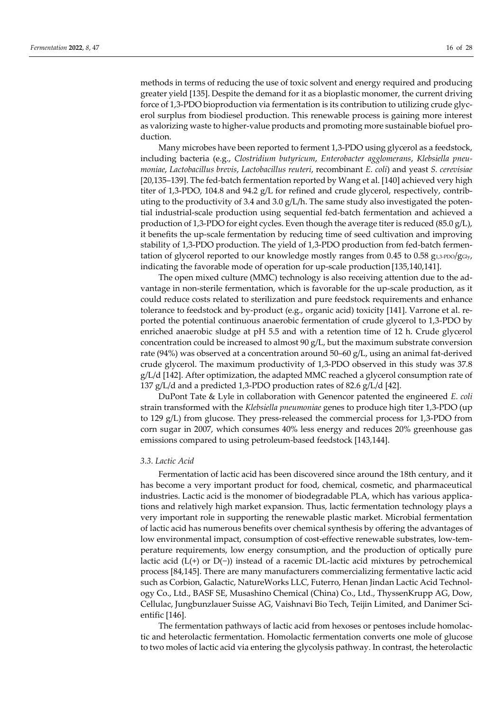methods in terms of reducing the use of toxic solvent and energy required and producing greater yield [135]. Despite the demand for it as a bioplastic monomer, the current driving force of 1,3-PDO bioproduction via fermentation is its contribution to utilizing crude glycerol surplus from biodiesel production. This renewable process is gaining more interest as valorizing waste to higher-value products and promoting more sustainable biofuel production.

Many microbes have been reported to ferment 1,3-PDO using glycerol as a feedstock, including bacteria (e.g., *Clostridium butyricum*, *Enterobacter agglomerans*, *Klebsiella pneumoniae*, *Lactobacillus brevis*, *Lactobacillus reuteri*, recombinant *E. coli*) and yeast *S. cerevisiae* [20,135–139]. The fed-batch fermentation reported by Wang et al. [140] achieved very high titer of 1,3-PDO, 104.8 and 94.2 g/L for refined and crude glycerol, respectively, contributing to the productivity of 3.4 and 3.0 g/L/h. The same study also investigated the potential industrial-scale production using sequential fed-batch fermentation and achieved a production of 1,3-PDO for eight cycles. Even though the average titer is reduced (85.0 g/L), it benefits the up-scale fermentation by reducing time of seed cultivation and improving stability of 1,3-PDO production. The yield of 1,3-PDO production from fed-batch fermentation of glycerol reported to our knowledge mostly ranges from 0.45 to 0.58  $g_{1,3\text{-PDO}}/g_{\text{Gly}}$ , indicating the favorable mode of operation for up-scale production [135,140,141].

The open mixed culture (MMC) technology is also receiving attention due to the advantage in non-sterile fermentation, which is favorable for the up-scale production, as it could reduce costs related to sterilization and pure feedstock requirements and enhance tolerance to feedstock and by-product (e.g., organic acid) toxicity [141]. Varrone et al. reported the potential continuous anaerobic fermentation of crude glycerol to 1,3-PDO by enriched anaerobic sludge at pH 5.5 and with a retention time of 12 h. Crude glycerol concentration could be increased to almost  $90 g/L$ , but the maximum substrate conversion rate (94%) was observed at a concentration around 50–60 g/L, using an animal fat-derived crude glycerol. The maximum productivity of 1,3-PDO observed in this study was 37.8 g/L/d [142]. After optimization, the adapted MMC reached a glycerol consumption rate of 137 g/L/d and a predicted 1,3-PDO production rates of 82.6 g/L/d [42].

DuPont Tate & Lyle in collaboration with Genencor patented the engineered *E. coli* strain transformed with the *Klebsiella pneumoniae* genes to produce high titer 1,3-PDO (up to 129 g/L) from glucose. They press-released the commercial process for 1,3-PDO from corn sugar in 2007, which consumes 40% less energy and reduces 20% greenhouse gas emissions compared to using petroleum-based feedstock [143,144].

# *3.3. Lactic Acid*

Fermentation of lactic acid has been discovered since around the 18th century, and it has become a very important product for food, chemical, cosmetic, and pharmaceutical industries. Lactic acid is the monomer of biodegradable PLA, which has various applications and relatively high market expansion. Thus, lactic fermentation technology plays a very important role in supporting the renewable plastic market. Microbial fermentation of lactic acid has numerous benefits over chemical synthesis by offering the advantages of low environmental impact, consumption of cost-effective renewable substrates, low-temperature requirements, low energy consumption, and the production of optically pure lactic acid (L(+) or D(−)) instead of a racemic DL-lactic acid mixtures by petrochemical process [84,145]. There are many manufacturers commercializing fermentative lactic acid such as Corbion, Galactic, NatureWorks LLC, Futerro, Henan Jindan Lactic Acid Technology Co., Ltd., BASF SE, Musashino Chemical (China) Co., Ltd., ThyssenKrupp AG, Dow, Cellulac, Jungbunzlauer Suisse AG, Vaishnavi Bio Tech, Teijin Limited, and Danimer Scientific [146].

The fermentation pathways of lactic acid from hexoses or pentoses include homolactic and heterolactic fermentation. Homolactic fermentation converts one mole of glucose to two moles of lactic acid via entering the glycolysis pathway. In contrast, the heterolactic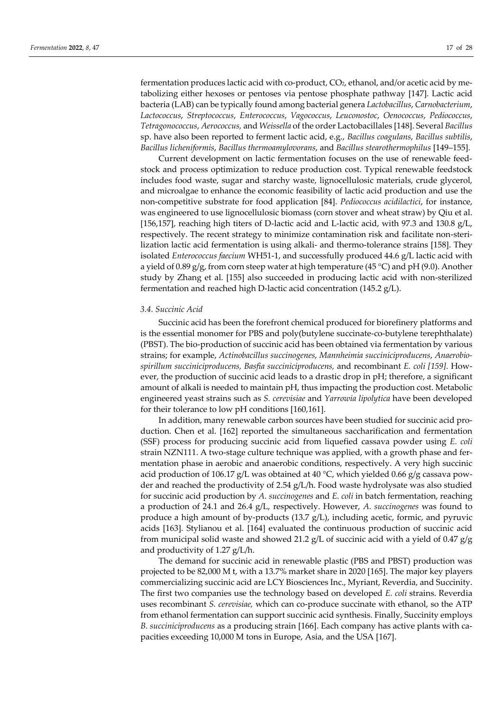fermentation produces lactic acid with co-product, CO2, ethanol, and/or acetic acid by metabolizing either hexoses or pentoses via pentose phosphate pathway [147]. Lactic acid bacteria (LAB) can be typically found among bacterial genera *Lactobacillus*, *Carnobacterium*, *Lactococcus*, *Streptococcus*, *Enterococcus*, *Vagococcus*, *Leuconostoc*, *Oenococcus*, *Pediococcus*, *Tetragonococcus*, *Aerococcus,* and *Weissella* of the order Lactobacillales [148]. Several *Bacillus*  sp. have also been reported to ferment lactic acid, e.g., *Bacillus coagulans*, *Bacillus subtilis*, *Bacillus licheniformis*, *Bacillus thermoamylovorans*, and *Bacillus stearothermophilus* [149–155].

Current development on lactic fermentation focuses on the use of renewable feedstock and process optimization to reduce production cost. Typical renewable feedstock includes food waste, sugar and starchy waste, lignocellulosic materials, crude glycerol, and microalgae to enhance the economic feasibility of lactic acid production and use the non-competitive substrate for food application [84]. *Pediococcus acidilactici*, for instance, was engineered to use lignocellulosic biomass (corn stover and wheat straw) by Qiu et al. [156,157], reaching high titers of D-lactic acid and L-lactic acid, with 97.3 and 130.8 g/L, respectively. The recent strategy to minimize contamination risk and facilitate non-sterilization lactic acid fermentation is using alkali- and thermo-tolerance strains [158]. They isolated *Enterococcus faecium* WH51-1, and successfully produced 44.6 g/L lactic acid with a yield of 0.89 g/g, from corn steep water at high temperature (45 °C) and pH (9.0). Another study by Zhang et al. [155] also succeeded in producing lactic acid with non-sterilized fermentation and reached high D-lactic acid concentration (145.2 g/L).

## *3.4. Succinic Acid*

Succinic acid has been the forefront chemical produced for biorefinery platforms and is the essential monomer for PBS and poly(butylene succinate-co-butylene terephthalate) (PBST). The bio-production of succinic acid has been obtained via fermentation by various strains; for example, *Actinobacillus succinogenes*, *Mannheimia succiniciproducens*, *Anaerobiospirillum succiniciproducens, Basfia succiniciproducens,* and recombinant *E. coli [159]*. However, the production of succinic acid leads to a drastic drop in pH; therefore, a significant amount of alkali is needed to maintain pH, thus impacting the production cost. Metabolic engineered yeast strains such as *S. cerevisiae* and *Yarrowia lipolytica* have been developed for their tolerance to low pH conditions [160,161].

In addition, many renewable carbon sources have been studied for succinic acid production. Chen et al. [162] reported the simultaneous saccharification and fermentation (SSF) process for producing succinic acid from liquefied cassava powder using *E. coli*  strain NZN111. A two-stage culture technique was applied, with a growth phase and fermentation phase in aerobic and anaerobic conditions, respectively. A very high succinic acid production of 106.17 g/L was obtained at 40 °C, which yielded 0.66 g/g cassava powder and reached the productivity of 2.54 g/L/h. Food waste hydrolysate was also studied for succinic acid production by *A. succinogenes* and *E. coli* in batch fermentation, reaching a production of 24.1 and 26.4 g/L, respectively. However, *A. succinogenes* was found to produce a high amount of by-products (13.7 g/L), including acetic, formic, and pyruvic acids [163]. Stylianou et al. [164] evaluated the continuous production of succinic acid from municipal solid waste and showed 21.2 g/L of succinic acid with a yield of 0.47 g/g and productivity of 1.27 g/L/h.

The demand for succinic acid in renewable plastic (PBS and PBST) production was projected to be 82,000 M t, with a 13.7% market share in 2020 [165]. The major key players commercializing succinic acid are LCY Biosciences Inc., Myriant, Reverdia, and Succinity. The first two companies use the technology based on developed *E. coli* strains. Reverdia uses recombinant *S. cerevisiae,* which can co-produce succinate with ethanol, so the ATP from ethanol fermentation can support succinic acid synthesis. Finally, Succinity employs *B. succiniciproducens* as a producing strain [166]. Each company has active plants with capacities exceeding 10,000 M tons in Europe, Asia, and the USA [167].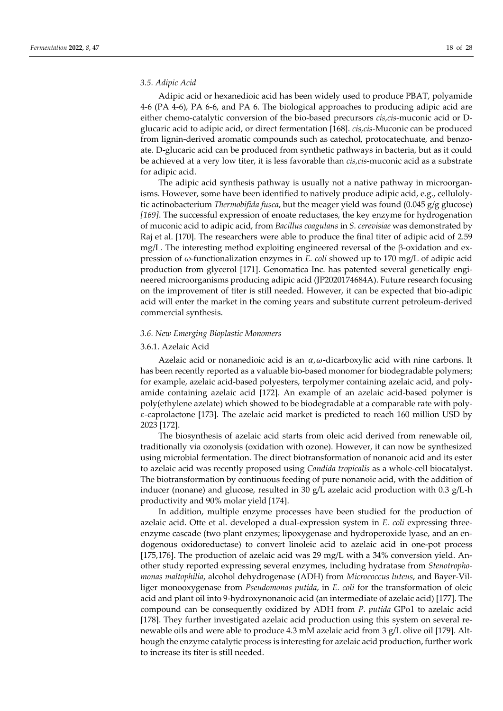# *3.5. Adipic Acid*

Adipic acid or hexanedioic acid has been widely used to produce PBAT, polyamide 4-6 (PA 4-6), PA 6-6, and PA 6. The biological approaches to producing adipic acid are either chemo-catalytic conversion of the bio-based precursors *cis,cis*-muconic acid or Dglucaric acid to adipic acid, or direct fermentation [168]. *cis,cis*-Muconic can be produced from lignin-derived aromatic compounds such as catechol, protocatechuate, and benzoate. D-glucaric acid can be produced from synthetic pathways in bacteria, but as it could be achieved at a very low titer, it is less favorable than *cis,cis*-muconic acid as a substrate for adipic acid.

The adipic acid synthesis pathway is usually not a native pathway in microorganisms. However, some have been identified to natively produce adipic acid, e.g., cellulolytic actinobacterium *Thermobifida fusca*, but the meager yield was found (0.045 g/g glucose) *[169]*. The successful expression of enoate reductases, the key enzyme for hydrogenation of muconic acid to adipic acid, from *Bacillus coagulans* in *S. cerevisiae* was demonstrated by Raj et al. [170]. The researchers were able to produce the final titer of adipic acid of 2.59 mg/L. The interesting method exploiting engineered reversal of the β-oxidation and expression of ω-functionalization enzymes in *E. coli* showed up to 170 mg/L of adipic acid production from glycerol [171]. Genomatica Inc. has patented several genetically engineered microorganisms producing adipic acid (JP2020174684A). Future research focusing on the improvement of titer is still needed. However, it can be expected that bio-adipic acid will enter the market in the coming years and substitute current petroleum-derived commercial synthesis.

### *3.6. New Emerging Bioplastic Monomers*

# 3.6.1. Azelaic Acid

Azelaic acid or nonanedioic acid is an  $\alpha$ ,  $\omega$ -dicarboxylic acid with nine carbons. It has been recently reported as a valuable bio-based monomer for biodegradable polymers; for example, azelaic acid-based polyesters, terpolymer containing azelaic acid, and polyamide containing azelaic acid [172]. An example of an azelaic acid-based polymer is poly(ethylene azelate) which showed to be biodegradable at a comparable rate with poly-  $\varepsilon$ -caprolactone [173]. The azelaic acid market is predicted to reach 160 million USD by 2023 [172].

The biosynthesis of azelaic acid starts from oleic acid derived from renewable oil, traditionally via ozonolysis (oxidation with ozone). However, it can now be synthesized using microbial fermentation. The direct biotransformation of nonanoic acid and its ester to azelaic acid was recently proposed using *Candida tropicalis* as a whole-cell biocatalyst. The biotransformation by continuous feeding of pure nonanoic acid, with the addition of inducer (nonane) and glucose, resulted in 30 g/L azelaic acid production with 0.3 g/L-h productivity and 90% molar yield [174].

In addition, multiple enzyme processes have been studied for the production of azelaic acid. Otte et al. developed a dual-expression system in *E. coli* expressing threeenzyme cascade (two plant enzymes; lipoxygenase and hydroperoxide lyase, and an endogenous oxidoreductase) to convert linoleic acid to azelaic acid in one-pot process [175,176]. The production of azelaic acid was 29 mg/L with a 34% conversion yield. Another study reported expressing several enzymes, including hydratase from *Stenotrophomonas maltophilia*, alcohol dehydrogenase (ADH) from *Micrococcus luteus*, and Bayer-Villiger monooxygenase from *Pseudomonas putida*, in *E. coli* for the transformation of oleic acid and plant oil into 9-hydroxynonanoic acid (an intermediate of azelaic acid) [177]. The compound can be consequently oxidized by ADH from *P. putida* GPo1 to azelaic acid [178]. They further investigated azelaic acid production using this system on several renewable oils and were able to produce 4.3 mM azelaic acid from 3 g/L olive oil [179]. Although the enzyme catalytic process is interesting for azelaic acid production, further work to increase its titer is still needed.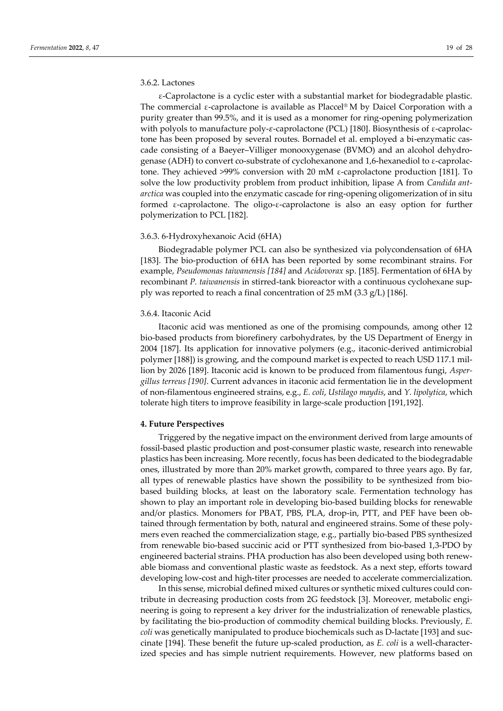# 3.6.2. Lactones

ε-Caprolactone is a cyclic ester with a substantial market for biodegradable plastic. The commercial ε-caprolactone is available as Placcel® M by Daicel Corporation with a purity greater than 99.5%, and it is used as a monomer for ring-opening polymerization with polyols to manufacture poly- $\varepsilon$ -caprolactone (PCL) [180]. Biosynthesis of  $\varepsilon$ -caprolactone has been proposed by several routes. Bornadel et al. employed a bi-enzymatic cascade consisting of a Baeyer–Villiger monooxygenase (BVMO) and an alcohol dehydrogenase (ADH) to convert co-substrate of cyclohexanone and 1,6-hexanediol to ε-caprolactone. They achieved >99% conversion with 20 mM ε-caprolactone production [181]. To solve the low productivity problem from product inhibition, lipase A from *Candida antarctica* was coupled into the enzymatic cascade for ring-opening oligomerization of in situ formed ε-caprolactone. The oligo-ε-caprolactone is also an easy option for further polymerization to PCL [182].

# 3.6.3. 6-Hydroxyhexanoic Acid (6HA)

Biodegradable polymer PCL can also be synthesized via polycondensation of 6HA [183]. The bio-production of 6HA has been reported by some recombinant strains. For example, *Pseudomonas taiwanensis [184]* and *Acidovorax* sp. [185]. Fermentation of 6HA by recombinant *P. taiwanensis* in stirred-tank bioreactor with a continuous cyclohexane supply was reported to reach a final concentration of 25 mM (3.3 g/L) [186].

# 3.6.4. Itaconic Acid

Itaconic acid was mentioned as one of the promising compounds, among other 12 bio-based products from biorefinery carbohydrates, by the US Department of Energy in 2004 [187]. Its application for innovative polymers (e.g., itaconic-derived antimicrobial polymer [188]) is growing, and the compound market is expected to reach USD 117.1 million by 2026 [189]. Itaconic acid is known to be produced from filamentous fungi, *Aspergillus terreus [190]*. Current advances in itaconic acid fermentation lie in the development of non-filamentous engineered strains, e.g., *E. coli*, *Ustilago maydis*, and *Y. lipolytica*, which tolerate high titers to improve feasibility in large-scale production [191,192].

# **4. Future Perspectives**

Triggered by the negative impact on the environment derived from large amounts of fossil-based plastic production and post-consumer plastic waste, research into renewable plastics has been increasing. More recently, focus has been dedicated to the biodegradable ones, illustrated by more than 20% market growth, compared to three years ago. By far, all types of renewable plastics have shown the possibility to be synthesized from biobased building blocks, at least on the laboratory scale. Fermentation technology has shown to play an important role in developing bio-based building blocks for renewable and/or plastics. Monomers for PBAT, PBS, PLA, drop-in, PTT, and PEF have been obtained through fermentation by both, natural and engineered strains. Some of these polymers even reached the commercialization stage, e.g., partially bio-based PBS synthesized from renewable bio-based succinic acid or PTT synthesized from bio-based 1,3-PDO by engineered bacterial strains. PHA production has also been developed using both renewable biomass and conventional plastic waste as feedstock. As a next step, efforts toward developing low-cost and high-titer processes are needed to accelerate commercialization.

In this sense, microbial defined mixed cultures or synthetic mixed cultures could contribute in decreasing production costs from 2G feedstock [3]. Moreover, metabolic engineering is going to represent a key driver for the industrialization of renewable plastics, by facilitating the bio-production of commodity chemical building blocks. Previously, *E. coli* was genetically manipulated to produce biochemicals such as D-lactate [193] and succinate [194]. These benefit the future up-scaled production, as *E. coli* is a well-characterized species and has simple nutrient requirements. However, new platforms based on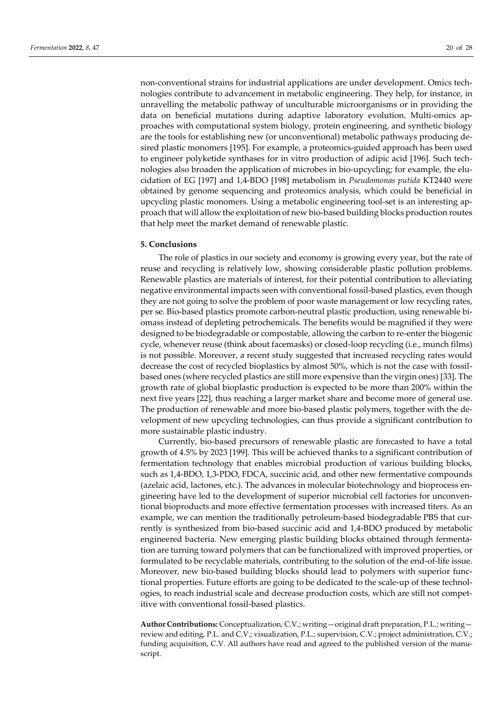non-conventional strains for industrial applications are under development. Omics technologies contribute to advancement in metabolic engineering. They help, for instance, in unravelling the metabolic pathway of unculturable microorganisms or in providing the data on beneficial mutations during adaptive laboratory evolution. Multi-omics approaches with computational system biology, protein engineering, and synthetic biology are the tools for establishing new (or unconventional) metabolic pathways producing desired plastic monomers [195]. For example, a proteomics-guided approach has been used to engineer polyketide synthases for in vitro production of adipic acid [196]. Such technologies also broaden the application of microbes in bio-upcycling; for example, the elucidation of EG [197] and 1,4-BDO [198] metabolism in *Pseudomonas putida* KT2440 were obtained by genome sequencing and proteomics analysis, which could be beneficial in upcycling plastic monomers. Using a metabolic engineering tool-set is an interesting approach that will allow the exploitation of new bio-based building blocks production routes that help meet the market demand of renewable plastic.

# **5. Conclusions**

The role of plastics in our society and economy is growing every year, but the rate of reuse and recycling is relatively low, showing considerable plastic pollution problems. Renewable plastics are materials of interest, for their potential contribution to alleviating negative environmental impacts seen with conventional fossil-based plastics, even though they are not going to solve the problem of poor waste management or low recycling rates, per se. Bio-based plastics promote carbon-neutral plastic production, using renewable biomass instead of depleting petrochemicals. The benefits would be magnified if they were designed to be biodegradable or compostable, allowing the carbon to re-enter the biogenic cycle, whenever reuse (think about facemasks) or closed-loop recycling (i.e., munch films) is not possible. Moreover, a recent study suggested that increased recycling rates would decrease the cost of recycled bioplastics by almost 50%, which is not the case with fossilbased ones (where recycled plastics are still more expensive than the virgin ones) [33]. The growth rate of global bioplastic production is expected to be more than 200% within the next five years [22], thus reaching a larger market share and become more of general use. The production of renewable and more bio-based plastic polymers, together with the development of new upcycling technologies, can thus provide a significant contribution to more sustainable plastic industry.

Currently, bio-based precursors of renewable plastic are forecasted to have a total growth of 4.5% by 2023 [199]. This will be achieved thanks to a significant contribution of fermentation technology that enables microbial production of various building blocks, such as 1,4-BDO, 1,3-PDO, FDCA, succinic acid, and other new fermentative compounds (azelaic acid, lactones, etc.). The advances in molecular biotechnology and bioprocess engineering have led to the development of superior microbial cell factories for unconventional bioproducts and more effective fermentation processes with increased titers. As an example, we can mention the traditionally petroleum-based biodegradable PBS that currently is synthesized from bio-based succinic acid and 1,4-BDO produced by metabolic engineered bacteria. New emerging plastic building blocks obtained through fermentation are turning toward polymers that can be functionalized with improved properties, or formulated to be recyclable materials, contributing to the solution of the end-of-life issue. Moreover, new bio-based building blocks should lead to polymers with superior functional properties. Future efforts are going to be dedicated to the scale-up of these technologies, to reach industrial scale and decrease production costs, which are still not competitive with conventional fossil-based plastics.

**Author Contributions:** Conceptualization, C.V.; writing—original draft preparation, P.L.; writing review and editing, P.L. and C.V.; visualization, P.L.; supervision, C.V.; project administration, C.V.; funding acquisition, C.V. All authors have read and agreed to the published version of the manuscript.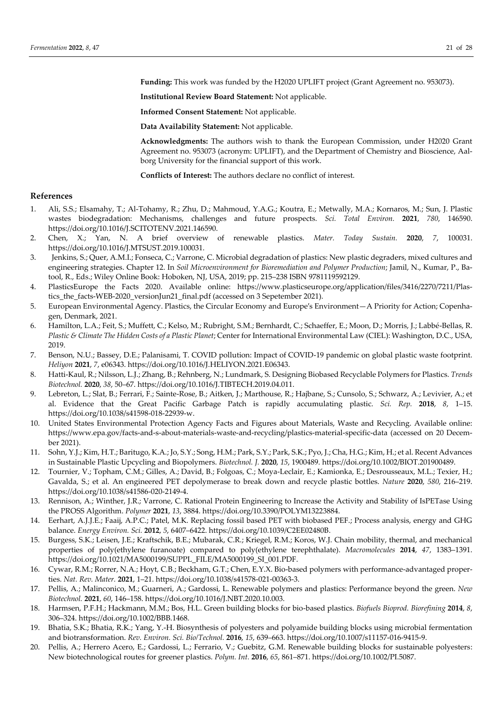**Funding:** This work was funded by the H2020 UPLIFT project (Grant Agreement no. 953073).

**Institutional Review Board Statement:** Not applicable.

**Informed Consent Statement:** Not applicable.

**Data Availability Statement:** Not applicable.

**Acknowledgments:** The authors wish to thank the European Commission, under H2020 Grant Agreement no. 953073 (acronym: UPLIFT), and the Department of Chemistry and Bioscience, Aalborg University for the financial support of this work.

**Conflicts of Interest:** The authors declare no conflict of interest.

## **References**

- 1. Ali, S.S.; Elsamahy, T.; Al-Tohamy, R.; Zhu, D.; Mahmoud, Y.A.G.; Koutra, E.; Metwally, M.A.; Kornaros, M.; Sun, J. Plastic wastes biodegradation: Mechanisms, challenges and future prospects. *Sci. Total Environ.* **2021**, *780*, 146590. https://doi.org/10.1016/J.SCITOTENV.2021.146590.
- 2. Chen, X.; Yan, N. A brief overview of renewable plastics. *Mater. Today Sustain.* **2020**, *7*, 100031. https://doi.org/10.1016/J.MTSUST.2019.100031.
- 3. Jenkins, S.; Quer, A.M.I.; Fonseca, C.; Varrone, C. Microbial degradation of plastics: New plastic degraders, mixed cultures and engineering strategies. Chapter 12. In *Soil Microenvironment for Bioremediation and Polymer Production*; Jamil, N., Kumar, P., Batool, R., Eds.; Wiley Online Book: Hoboken, NJ, USA, 2019; pp. 215–238 ISBN 9781119592129.
- 4. PlasticsEurope the Facts 2020. Available online: https://www.plasticseurope.org/application/files/3416/2270/7211/Plastics the facts-WEB-2020 versionJun21 final.pdf (accessed on 3 Sepetember 2021).
- 5. European Environmental Agency. Plastics, the Circular Economy and Europe′s Environment—A Priority for Action; Copenhagen, Denmark, 2021.
- 6. Hamilton, L.A.; Feit, S.; Muffett, C.; Kelso, M.; Rubright, S.M.; Bernhardt, C.; Schaeffer, E.; Moon, D.; Morris, J.; Labbé-Bellas, R. *Plastic & Climate The Hidden Costs of a Plastic Planet*; Center for International Environmental Law (CIEL): Washington, D.C., USA, 2019.
- 7. Benson, N.U.; Bassey, D.E.; Palanisami, T. COVID pollution: Impact of COVID-19 pandemic on global plastic waste footprint. *Heliyon* **2021**, *7*, e06343. https://doi.org/10.1016/J.HELIYON.2021.E06343.
- 8. Hatti-Kaul, R.; Nilsson, L.J.; Zhang, B.; Rehnberg, N.; Lundmark, S. Designing Biobased Recyclable Polymers for Plastics. *Trends Biotechnol.* **2020**, *38*, 50–67. https://doi.org/10.1016/J.TIBTECH.2019.04.011.
- 9. Lebreton, L.; Slat, B.; Ferrari, F.; Sainte-Rose, B.; Aitken, J.; Marthouse, R.; Hajbane, S.; Cunsolo, S.; Schwarz, A.; Levivier, A.; et al. Evidence that the Great Pacific Garbage Patch is rapidly accumulating plastic. *Sci. Rep.* **2018**, *8*, 1–15. https://doi.org/10.1038/s41598-018-22939-w.
- 10. United States Environmental Protection Agency Facts and Figures about Materials, Waste and Recycling. Available online: https://www.epa.gov/facts-and-s-about-materials-waste-and-recycling/plastics-material-specific-data (accessed on 20 December 2021).
- 11. Sohn, Y.J.; Kim, H.T.; Baritugo, K.A.; Jo, S.Y.; Song, H.M.; Park, S.Y.; Park, S.K.; Pyo, J.; Cha, H.G.; Kim, H.; et al. Recent Advances in Sustainable Plastic Upcycling and Biopolymers. *Biotechnol. J.* **2020**, *15*, 1900489. https://doi.org/10.1002/BIOT.201900489.
- 12. Tournier, V.; Topham, C.M.; Gilles, A.; David, B.; Folgoas, C.; Moya-Leclair, E.; Kamionka, E.; Desrousseaux, M.L.; Texier, H.; Gavalda, S.; et al. An engineered PET depolymerase to break down and recycle plastic bottles. *Nature* **2020**, *580*, 216–219. https://doi.org/10.1038/s41586-020-2149-4.
- 13. Rennison, A.; Winther, J.R.; Varrone, C. Rational Protein Engineering to Increase the Activity and Stability of IsPETase Using the PROSS Algorithm. *Polymer* **2021**, *13*, 3884. https://doi.org/10.3390/POLYM13223884.
- 14. Eerhart, A.J.J.E.; Faaij, A.P.C.; Patel, M.K. Replacing fossil based PET with biobased PEF.; Process analysis, energy and GHG balance. *Energy Environ. Sci.* **2012**, *5*, 6407–6422. https://doi.org/10.1039/C2EE02480B.
- 15. Burgess, S.K.; Leisen, J.E.; Kraftschik, B.E.; Mubarak, C.R.; Kriegel, R.M.; Koros, W.J. Chain mobility, thermal, and mechanical properties of poly(ethylene furanoate) compared to poly(ethylene terephthalate). *Macromolecules* **2014**, *47*, 1383–1391. https://doi.org/10.1021/MA5000199/SUPPL\_FILE/MA5000199\_SI\_001.PDF.
- 16. Cywar, R.M.; Rorrer, N.A.; Hoyt, C.B.; Beckham, G.T.; Chen, E.Y.X. Bio-based polymers with performance-advantaged properties. *Nat. Rev. Mater.* **2021**, 1–21. https://doi.org/10.1038/s41578-021-00363-3.
- 17. Pellis, A.; Malinconico, M.; Guarneri, A.; Gardossi, L. Renewable polymers and plastics: Performance beyond the green. *New Biotechnol.* **2021**, *60*, 146–158. https://doi.org/10.1016/J.NBT.2020.10.003.
- 18. Harmsen, P.F.H.; Hackmann, M.M.; Bos, H.L. Green building blocks for bio-based plastics. *Biofuels Bioprod. Biorefining* **2014**, *8*, 306–324. https://doi.org/10.1002/BBB.1468.
- 19. Bhatia, S.K.; Bhatia, R.K.; Yang, Y.-H. Biosynthesis of polyesters and polyamide building blocks using microbial fermentation and biotransformation. *Rev. Environ. Sci. Bio/Technol.* **2016**, *15*, 639–663. https://doi.org/10.1007/s11157-016-9415-9.
- 20. Pellis, A.; Herrero Acero, E.; Gardossi, L.; Ferrario, V.; Guebitz, G.M. Renewable building blocks for sustainable polyesters: New biotechnological routes for greener plastics. *Polym. Int.* **2016**, *65*, 861–871. https://doi.org/10.1002/PI.5087.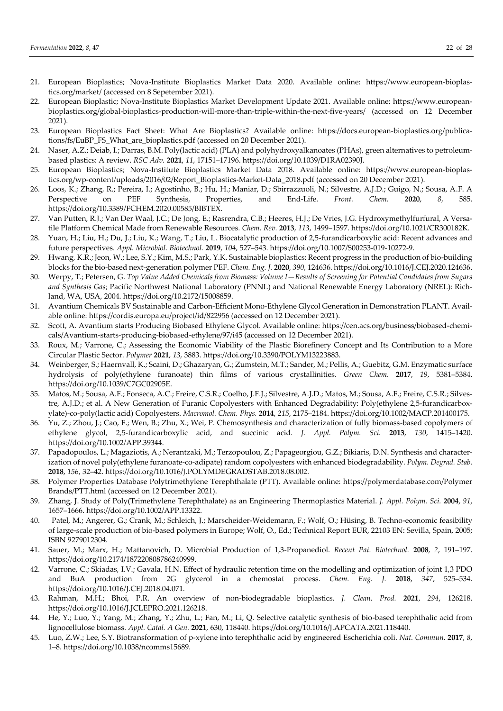- 21. European Bioplastics; Nova-Institute Bioplastics Market Data 2020. Available online: https://www.european-bioplastics.org/market/ (accessed on 8 Sepetember 2021).
- 22. European Bioplastic; Nova-Institute Bioplastics Market Development Update 2021. Available online: https://www.europeanbioplastics.org/global-bioplastics-production-will-more-than-triple-within-the-next-five-years/ (accessed on 12 December 2021).
- 23. European Bioplastics Fact Sheet: What Are Bioplastics? Available online: https://docs.european-bioplastics.org/publications/fs/EuBP\_FS\_What\_are\_bioplastics.pdf (accessed on 20 December 2021).
- 24. Naser, A.Z.; Deiab, I.; Darras, B.M. Poly(lactic acid) (PLA) and polyhydroxyalkanoates (PHAs), green alternatives to petroleumbased plastics: A review. *RSC Adv.* **2021**, *11*, 17151–17196. https://doi.org/10.1039/D1RA02390J.
- 25. European Bioplastics; Nova-Institute Bioplastics Market Data 2018. Available online: https://www.european-bioplastics.org/wp-content/uploads/2016/02/Report\_Bioplastics-Market-Data\_2018.pdf (accessed on 20 December 2021).
- 26. Loos, K.; Zhang, R.; Pereira, I.; Agostinho, B.; Hu, H.; Maniar, D.; Sbirrazzuoli, N.; Silvestre, A.J.D.; Guigo, N.; Sousa, A.F. A Perspective on PEF Synthesis, Properties, and End-Life. *Front. Chem.* **2020**, *8*, 585. https://doi.org/10.3389/FCHEM.2020.00585/BIBTEX.
- 27. Van Putten, R.J.; Van Der Waal, J.C.; De Jong, E.; Rasrendra, C.B.; Heeres, H.J.; De Vries, J.G. Hydroxymethylfurfural, A Versatile Platform Chemical Made from Renewable Resources. *Chem. Rev.* **2013**, *113*, 1499–1597. https://doi.org/10.1021/CR300182K.
- 28. Yuan, H.; Liu, H.; Du, J.; Liu, K.; Wang, T.; Liu, L. Biocatalytic production of 2,5-furandicarboxylic acid: Recent advances and future perspectives. *Appl. Microbiol. Biotechnol.* **2019**, *104*, 527–543. https://doi.org/10.1007/S00253-019-10272-9.
- 29. Hwang, K.R.; Jeon, W.; Lee, S.Y.; Kim, M.S.; Park, Y.K. Sustainable bioplastics: Recent progress in the production of bio-building blocks for the bio-based next-generation polymer PEF. *Chem. Eng. J.* **2020**, *390*, 124636. https://doi.org/10.1016/J.CEJ.2020.124636.
- 30. Werpy, T.; Petersen, G. *Top Value Added Chemicals from Biomass: Volume I—Results of Screening for Potential Candidates from Sugars and Synthesis Gas*; Pacific Northwest National Laboratory (PNNL) and National Renewable Energy Laboratory (NREL): Richland, WA, USA, 2004. https://doi.org/10.2172/15008859.
- 31. Avantium Chemicals BV Sustainable and Carbon-Efficient Mono-Ethylene Glycol Generation in Demonstration PLANT. Available online: https://cordis.europa.eu/project/id/822956 (accessed on 12 December 2021).
- 32. Scott, A. Avantium starts Producing Biobased Ethylene Glycol. Available online: https://cen.acs.org/business/biobased-chemicals/Avantium-starts-producing-biobased-ethylene/97/i45 (accessed on 12 December 2021).
- 33. Roux, M.; Varrone, C.; Assessing the Economic Viability of the Plastic Biorefinery Concept and Its Contribution to a More Circular Plastic Sector. *Polymer* **2021**, *13*, 3883. https://doi.org/10.3390/POLYM13223883.
- 34. Weinberger, S.; Haernvall, K.; Scaini, D.; Ghazaryan, G.; Zumstein, M.T.; Sander, M.; Pellis, A.; Guebitz, G.M. Enzymatic surface hydrolysis of poly(ethylene furanoate) thin films of various crystallinities. *Green Chem.* **2017**, *19*, 5381–5384. https://doi.org/10.1039/C7GC02905E.
- 35. Matos, M.; Sousa, A.F.; Fonseca, A.C.; Freire, C.S.R.; Coelho, J.F.J.; Silvestre, A.J.D.; Matos, M.; Sousa, A.F.; Freire, C.S.R.; Silvestre, A.J.D.; et al. A New Generation of Furanic Copolyesters with Enhanced Degradability: Poly(ethylene 2,5-furandicarboxylate)-co-poly(lactic acid) Copolyesters. *Macromol. Chem. Phys.* **2014**, *215*, 2175–2184. https://doi.org/10.1002/MACP.201400175.
- 36. Yu, Z.; Zhou, J.; Cao, F.; Wen, B.; Zhu, X.; Wei, P. Chemosynthesis and characterization of fully biomass-based copolymers of ethylene glycol, 2,5-furandicarboxylic acid, and succinic acid. *J. Appl. Polym. Sci.* **2013**, *130*, 1415–1420. https://doi.org/10.1002/APP.39344.
- 37. Papadopoulos, L.; Magaziotis, A.; Nerantzaki, M.; Terzopoulou, Z.; Papageorgiou, G.Z.; Bikiaris, D.N. Synthesis and characterization of novel poly(ethylene furanoate-co-adipate) random copolyesters with enhanced biodegradability. *Polym. Degrad. Stab.* **2018**, *156*, 32–42. https://doi.org/10.1016/J.POLYMDEGRADSTAB.2018.08.002.
- 38. Polymer Properties Database Polytrimethylene Terephthalate (PTT). Available online: https://polymerdatabase.com/Polymer Brands/PTT.html (accessed on 12 December 2021).
- 39. Zhang, J. Study of Poly(Trimethylene Terephthalate) as an Engineering Thermoplastics Material. *J. Appl. Polym. Sci.* **2004**, *91*, 1657–1666. https://doi.org/10.1002/APP.13322.
- 40. Patel, M.; Angerer, G.; Crank, M.; Schleich, J.; Marscheider-Weidemann, F.; Wolf, O.; Hüsing, B. Techno-economic feasibility of large-scale production of bio-based polymers in Europe; Wolf, O., Ed.; Technical Report EUR, 22103 EN: Sevilla, Spain, 2005; ISBN 9279012304.
- 41. Sauer, M.; Marx, H.; Mattanovich, D. Microbial Production of 1,3-Propanediol. *Recent Pat. Biotechnol.* **2008**, *2*, 191–197. https://doi.org/10.2174/187220808786240999.
- 42. Varrone, C.; Skiadas, I.V.; Gavala, H.N. Effect of hydraulic retention time on the modelling and optimization of joint 1,3 PDO and BuA production from 2G glycerol in a chemostat process. *Chem. Eng. J.* **2018**, *347*, 525–534. https://doi.org/10.1016/J.CEJ.2018.04.071.
- 43. Rahman, M.H.; Bhoi, P.R. An overview of non-biodegradable bioplastics. *J. Clean. Prod.* **2021**, *294*, 126218. https://doi.org/10.1016/J.JCLEPRO.2021.126218.
- 44. He, Y.; Luo, Y.; Yang, M.; Zhang, Y.; Zhu, L.; Fan, M.; Li, Q. Selective catalytic synthesis of bio-based terephthalic acid from lignocellulose biomass. *Appl. Catal. A Gen.* **2021**, 630, 118440. https://doi.org/10.1016/J.APCATA.2021.118440.
- 45. Luo, Z.W.; Lee, S.Y. Biotransformation of p-xylene into terephthalic acid by engineered Escherichia coli. *Nat. Commun.* **2017**, *8*, 1–8. https://doi.org/10.1038/ncomms15689.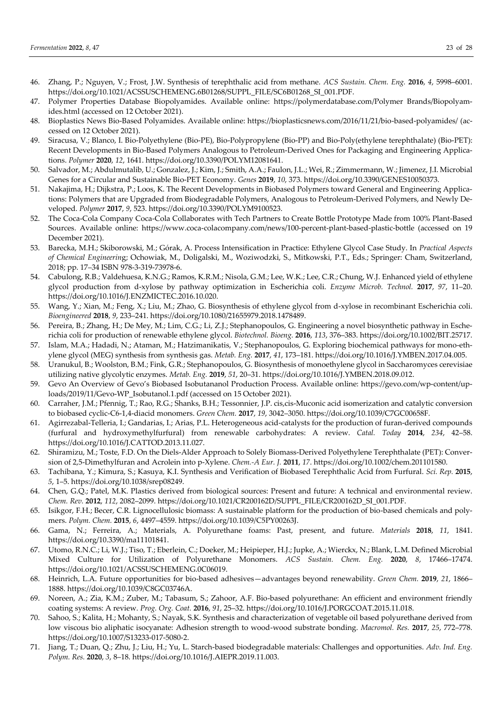- 46. Zhang, P.; Nguyen, V.; Frost, J.W. Synthesis of terephthalic acid from methane. *ACS Sustain. Chem. Eng.* **2016**, *4*, 5998–6001. https://doi.org/10.1021/ACSSUSCHEMENG.6B01268/SUPPL\_FILE/SC6B01268\_SI\_001.PDF.
- 47. Polymer Properties Database Biopolyamides. Available online: https://polymerdatabase.com/Polymer Brands/Biopolyamides.html (accessed on 12 October 2021).
- 48. Bioplastics News Bio-Based Polyamides. Available online: https://bioplasticsnews.com/2016/11/21/bio-based-polyamides/ (accessed on 12 October 2021).
- 49. Siracusa, V.; Blanco, I. Bio-Polyethylene (Bio-PE), Bio-Polypropylene (Bio-PP) and Bio-Poly(ethylene terephthalate) (Bio-PET): Recent Developments in Bio-Based Polymers Analogous to Petroleum-Derived Ones for Packaging and Engineering Applications. *Polymer* **2020**, *12*, 1641. https://doi.org/10.3390/POLYM12081641.
- 50. Salvador, M.; Abdulmutalib, U.; Gonzalez, J.; Kim, J.; Smith, A.A.; Faulon, J.L.; Wei, R.; Zimmermann, W.; Jimenez, J.I. Microbial Genes for a Circular and Sustainable Bio-PET Economy. *Genes* **2019**, *10*, 373. https://doi.org/10.3390/GENES10050373.
- 51. Nakajima, H.; Dijkstra, P.; Loos, K. The Recent Developments in Biobased Polymers toward General and Engineering Applications: Polymers that are Upgraded from Biodegradable Polymers, Analogous to Petroleum-Derived Polymers, and Newly Developed. *Polymer* **2017**, *9*, 523. https://doi.org/10.3390/POLYM9100523.
- 52. The Coca-Cola Company Coca-Cola Collaborates with Tech Partners to Create Bottle Prototype Made from 100% Plant-Based Sources. Available online: https://www.coca-colacompany.com/news/100-percent-plant-based-plastic-bottle (accessed on 19 December 2021).
- 53. Barecka, M.H.; Skiborowski, M.; Górak, A. Process Intensification in Practice: Ethylene Glycol Case Study. In *Practical Aspects of Chemical Engineerin*g; Ochowiak, M., Doligalski, M., Woziwodzki, S., Mitkowski, P.T., Eds.; Springer: Cham, Switzerland, 2018; pp. 17–34 ISBN 978-3-319-73978-6.
- 54. Cabulong, R.B.; Valdehuesa, K.N.G.; Ramos, K.R.M.; Nisola, G.M.; Lee, W.K.; Lee, C.R.; Chung, W.J. Enhanced yield of ethylene glycol production from d-xylose by pathway optimization in Escherichia coli. *Enzyme Microb. Technol.* **2017**, *97*, 11–20. https://doi.org/10.1016/J.ENZMICTEC.2016.10.020.
- 55. Wang, Y.; Xian, M.; Feng, X.; Liu, M.; Zhao, G. Biosynthesis of ethylene glycol from d-xylose in recombinant Escherichia coli. *Bioengineered* **2018**, *9*, 233–241. https://doi.org/10.1080/21655979.2018.1478489.
- 56. Pereira, B.; Zhang, H.; De Mey, M.; Lim, C.G.; Li, Z.J.; Stephanopoulos, G. Engineering a novel biosynthetic pathway in Escherichia coli for production of renewable ethylene glycol. *Biotechnol. Bioeng.* **2016**, *113*, 376–383. https://doi.org/10.1002/BIT.25717.
- 57. Islam, M.A.; Hadadi, N.; Ataman, M.; Hatzimanikatis, V.; Stephanopoulos, G. Exploring biochemical pathways for mono-ethylene glycol (MEG) synthesis from synthesis gas. *Metab. Eng.* **2017**, *41*, 173–181. https://doi.org/10.1016/J.YMBEN.2017.04.005.
- 58. Uranukul, B.; Woolston, B.M.; Fink, G.R.; Stephanopoulos, G. Biosynthesis of monoethylene glycol in Saccharomyces cerevisiae utilizing native glycolytic enzymes. *Metab. Eng.* **2019**, *51*, 20–31. https://doi.org/10.1016/J.YMBEN.2018.09.012.
- 59. Gevo An Overview of Gevo's Biobased Isobutananol Production Process. Available online: https://gevo.com/wp-content/uploads/2019/11/Gevo-WP\_Isobutanol.1.pdf (accessed on 15 October 2021).
- 60. Carraher, J.M.; Pfennig, T.; Rao, R.G.; Shanks, B.H.; Tessonnier, J.P. cis,cis-Muconic acid isomerization and catalytic conversion to biobased cyclic-C6-1,4-diacid monomers. *Green Chem.* **2017**, *19*, 3042–3050. https://doi.org/10.1039/C7GC00658F.
- 61. Agirrezabal-Telleria, I.; Gandarias, I.; Arias, P.L. Heterogeneous acid-catalysts for the production of furan-derived compounds (furfural and hydroxymethylfurfural) from renewable carbohydrates: A review. *Catal. Today* **2014**, *234*, 42–58. https://doi.org/10.1016/J.CATTOD.2013.11.027.
- 62. Shiramizu, M.; Toste, F.D. On the Diels-Alder Approach to Solely Biomass-Derived Polyethylene Terephthalate (PET): Conversion of 2,5-Dimethylfuran and Acrolein into p-Xylene. *Chem.-A Eur. J.* **2011**, *17*. https://doi.org/10.1002/chem.201101580.
- 63. Tachibana, Y.; Kimura, S.; Kasuya, K.I. Synthesis and Verification of Biobased Terephthalic Acid from Furfural. *Sci. Rep.* **2015**, *5*, 1–5. https://doi.org/10.1038/srep08249.
- 64. Chen, G.Q.; Patel, M.K. Plastics derived from biological sources: Present and future: A technical and environmental review. *Chem. Rev.* **2012**, *112*, 2082–2099. https://doi.org/10.1021/CR200162D/SUPPL\_FILE/CR200162D\_SI\_001.PDF.
- 65. Isikgor, F.H.; Becer, C.R. Lignocellulosic biomass: A sustainable platform for the production of bio-based chemicals and polymers. *Polym. Chem.* **2015**, *6*, 4497–4559. https://doi.org/10.1039/C5PY00263J.
- 66. Gama, N.; Ferreira, A.; Materials, A. Polyurethane foams: Past, present, and future. *Materials* **2018**, *11*, 1841. https://doi.org/10.3390/ma11101841.
- 67. Utomo, R.N.C.; Li, W.J.; Tiso, T.; Eberlein, C.; Doeker, M.; Heipieper, H.J.; Jupke, A.; Wierckx, N.; Blank, L.M. Defined Microbial Mixed Culture for Utilization of Polyurethane Monomers. *ACS Sustain. Chem. Eng.* **2020**, *8*, 17466–17474. https://doi.org/10.1021/ACSSUSCHEMENG.0C06019.
- 68. Heinrich, L.A. Future opportunities for bio-based adhesives—advantages beyond renewability. *Green Chem.* **2019**, *21*, 1866– 1888. https://doi.org/10.1039/C8GC03746A.
- 69. Noreen, A.; Zia, K.M.; Zuber, M.; Tabasum, S.; Zahoor, A.F. Bio-based polyurethane: An efficient and environment friendly coating systems: A review. *Prog. Org. Coat.* **2016**, *91*, 25–32. https://doi.org/10.1016/J.PORGCOAT.2015.11.018.
- 70. Sahoo, S.; Kalita, H.; Mohanty, S.; Nayak, S.K. Synthesis and characterization of vegetable oil based polyurethane derived from low viscous bio aliphatic isocyanate: Adhesion strength to wood-wood substrate bonding. *Macromol. Res.* **2017**, *25*, 772–778. https://doi.org/10.1007/S13233-017-5080-2.
- 71. Jiang, T.; Duan, Q.; Zhu, J.; Liu, H.; Yu, L. Starch-based biodegradable materials: Challenges and opportunities. *Adv. Ind. Eng. Polym. Res.* **2020**, *3*, 8–18. https://doi.org/10.1016/J.AIEPR.2019.11.003.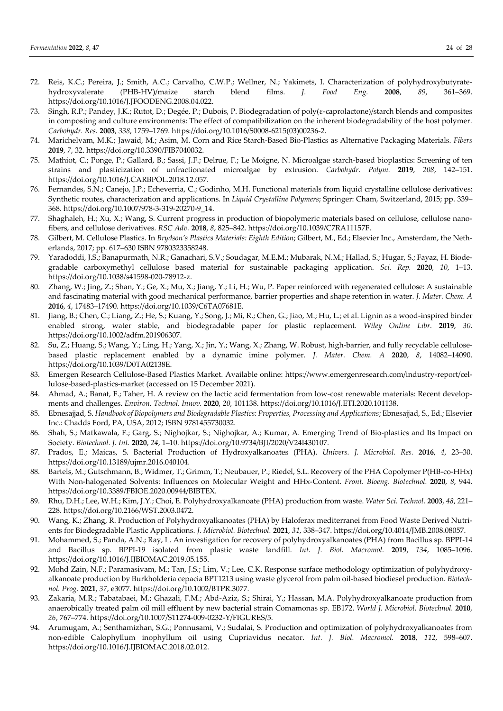- 72. Reis, K.C.; Pereira, J.; Smith, A.C.; Carvalho, C.W.P.; Wellner, N.; Yakimets, I. Characterization of polyhydroxybutyratehydroxyvalerate (PHB-HV)/maize starch blend films. *J. Food Eng.* **2008**, *89*, 361–369. https://doi.org/10.1016/J.JFOODENG.2008.04.022.
- 73. Singh, R.P.; Pandey, J.K.; Rutot, D.; Degée, P.; Dubois, P. Biodegradation of poly(ε-caprolactone)/starch blends and composites in composting and culture environments: The effect of compatibilization on the inherent biodegradability of the host polymer. *Carbohydr. Res.* **2003**, *338*, 1759–1769. https://doi.org/10.1016/S0008-6215(03)00236-2.
- 74. Marichelvam, M.K.; Jawaid, M.; Asim, M. Corn and Rice Starch-Based Bio-Plastics as Alternative Packaging Materials. *Fibers*  **2019**, *7*, 32. https://doi.org/10.3390/FIB7040032.
- 75. Mathiot, C.; Ponge, P.; Gallard, B.; Sassi, J.F.; Delrue, F.; Le Moigne, N. Microalgae starch-based bioplastics: Screening of ten strains and plasticization of unfractionated microalgae by extrusion. *Carbohydr. Polym.* **2019**, *208*, 142–151. https://doi.org/10.1016/J.CARBPOL.2018.12.057.
- 76. Fernandes, S.N.; Canejo, J.P.; Echeverria, C.; Godinho, M.H. Functional materials from liquid crystalline cellulose derivatives: Synthetic routes, characterization and applications. In *Liquid Crystalline Polymers*; Springer: Cham, Switzerland, 2015; pp. 339– 368. https://doi.org/10.1007/978-3-319-20270-9\_14.
- 77. Shaghaleh, H.; Xu, X.; Wang, S. Current progress in production of biopolymeric materials based on cellulose, cellulose nanofibers, and cellulose derivatives. *RSC Adv.* **2018**, *8*, 825–842. https://doi.org/10.1039/C7RA11157F.
- 78. Gilbert, M. Cellulose Plastics. In *Brydson's Plastics Materials: Eighth Edition*; Gilbert, M., Ed.; Elsevier Inc., Amsterdam, the Netherlands, 2017; pp. 617–630 ISBN 9780323358248.
- 79. Yaradoddi, J.S.; Banapurmath, N.R.; Ganachari, S.V.; Soudagar, M.E.M.; Mubarak, N.M.; Hallad, S.; Hugar, S.; Fayaz, H. Biodegradable carboxymethyl cellulose based material for sustainable packaging application. *Sci. Rep.* **2020**, *10*, 1–13. https://doi.org/10.1038/s41598-020-78912-z.
- 80. Zhang, W.; Jing, Z.; Shan, Y.; Ge, X.; Mu, X.; Jiang, Y.; Li, H.; Wu, P. Paper reinforced with regenerated cellulose: A sustainable and fascinating material with good mechanical performance, barrier properties and shape retention in water. *J. Mater. Chem. A* **2016**, *4*, 17483–17490. https://doi.org/10.1039/C6TA07681E.
- 81. Jiang, B.; Chen, C.; Liang, Z.; He, S.; Kuang, Y.; Song, J.; Mi, R.; Chen, G.; Jiao, M.; Hu, L.; et al. Lignin as a wood-inspired binder enabled strong, water stable, and biodegradable paper for plastic replacement. *Wiley Online Libr.* **2019**, *30*. https://doi.org/10.1002/adfm.201906307.
- 82. Su, Z.; Huang, S.; Wang, Y.; Ling, H.; Yang, X.; Jin, Y.; Wang, X.; Zhang, W. Robust, high-barrier, and fully recyclable cellulosebased plastic replacement enabled by a dynamic imine polymer. *J. Mater. Chem. A* **2020**, *8*, 14082–14090. https://doi.org/10.1039/D0TA02138E.
- 83. Emergen Research Cellulose-Based Plastics Market. Available online: https://www.emergenresearch.com/industry-report/cellulose-based-plastics-market (accessed on 15 December 2021).
- 84. Ahmad, A.; Banat, F.; Taher, H. A review on the lactic acid fermentation from low-cost renewable materials: Recent developments and challenges. *Environ. Technol. Innov.* **2020**, *20*, 101138. https://doi.org/10.1016/J.ETI.2020.101138.
- 85. Ebnesajjad, S. *Handbook of Biopolymers and Biodegradable Plastics: Properties, Processing and Applications*; Ebnesajjad, S., Ed.; Elsevier Inc.: Chadds Ford, PA, USA, 2012; ISBN 9781455730032.
- 86. Shah, S.; Matkawala, F.; Garg, S.; Nighojkar, S.; Nighojkar, A.; Kumar, A. Emerging Trend of Bio-plastics and Its Impact on Society. *Biotechnol. J. Int.* **2020**, *24*, 1–10. https://doi.org/10.9734/BJI/2020/V24I430107.
- 87. Prados, E.; Maicas, S. Bacterial Production of Hydroxyalkanoates (PHA). *Univers. J. Microbiol. Res.* **2016**, *4*, 23–30. https://doi.org/10.13189/ujmr.2016.040104.
- 88. Bartels, M.; Gutschmann, B.; Widmer, T.; Grimm, T.; Neubauer, P.; Riedel, S.L. Recovery of the PHA Copolymer P(HB-co-HHx) With Non-halogenated Solvents: Influences on Molecular Weight and HHx-Content. *Front. Bioeng. Biotechnol.* **2020**, *8*, 944. https://doi.org/10.3389/FBIOE.2020.00944/BIBTEX.
- 89. Rhu, D.H.; Lee, W.H.; Kim, J.Y.; Choi, E. Polyhydroxyalkanoate (PHA) production from waste. *Water Sci. Technol.* **2003**, *48*, 221– 228. https://doi.org/10.2166/WST.2003.0472.
- 90. Wang, K.; Zhang, R. Production of Polyhydroxyalkanoates (PHA) by Haloferax mediterranei from Food Waste Derived Nutrients for Biodegradable Plastic Applications. *J. Microbiol. Biotechnol.* **2021**, *31*, 338–347. https://doi.org/10.4014/JMB.2008.08057.
- 91. Mohammed, S.; Panda, A.N.; Ray, L. An investigation for recovery of polyhydroxyalkanoates (PHA) from Bacillus sp. BPPI-14 and Bacillus sp. BPPI-19 isolated from plastic waste landfill. *Int. J. Biol. Macromol.* **2019**, *134*, 1085–1096. https://doi.org/10.1016/J.IJBIOMAC.2019.05.155.
- 92. Mohd Zain, N.F.; Paramasivam, M.; Tan, J.S.; Lim, V.; Lee, C.K. Response surface methodology optimization of polyhydroxyalkanoate production by Burkholderia cepacia BPT1213 using waste glycerol from palm oil-based biodiesel production. *Biotechnol. Prog.* **2021**, *37*, e3077. https://doi.org/10.1002/BTPR.3077.
- 93. Zakaria, M.R.; Tabatabaei, M.; Ghazali, F.M.; Abd-Aziz, S.; Shirai, Y.; Hassan, M.A. Polyhydroxyalkanoate production from anaerobically treated palm oil mill effluent by new bacterial strain Comamonas sp. EB172. *World J. Microbiol. Biotechnol.* **2010**, *26*, 767–774. https://doi.org/10.1007/S11274-009-0232-Y/FIGURES/5.
- 94. Arumugam, A.; Senthamizhan, S.G.; Ponnusami, V.; Sudalai, S. Production and optimization of polyhydroxyalkanoates from non-edible Calophyllum inophyllum oil using Cupriavidus necator. *Int. J. Biol. Macromol.* **2018**, *112*, 598–607. https://doi.org/10.1016/J.IJBIOMAC.2018.02.012.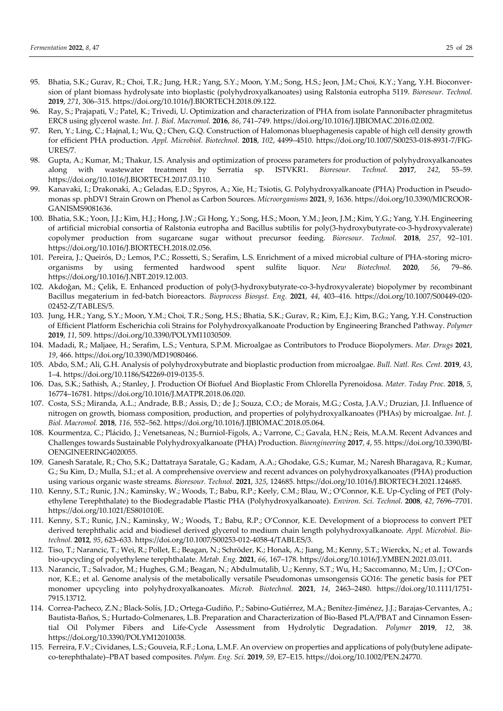- 95. Bhatia, S.K.; Gurav, R.; Choi, T.R.; Jung, H.R.; Yang, S.Y.; Moon, Y.M.; Song, H.S.; Jeon, J.M.; Choi, K.Y.; Yang, Y.H. Bioconversion of plant biomass hydrolysate into bioplastic (polyhydroxyalkanoates) using Ralstonia eutropha 5119. *Bioresour. Technol.* **2019**, *271*, 306–315. https://doi.org/10.1016/J.BIORTECH.2018.09.122.
- 96. Ray, S.; Prajapati, V.; Patel, K.; Trivedi, U. Optimization and characterization of PHA from isolate Pannonibacter phragmitetus ERC8 using glycerol waste. *Int. J. Biol. Macromol.* **2016**, *86*, 741–749. https://doi.org/10.1016/J.IJBIOMAC.2016.02.002.
- 97. Ren, Y.; Ling, C.; Hajnal, I.; Wu, Q.; Chen, G.Q. Construction of Halomonas bluephagenesis capable of high cell density growth for efficient PHA production. *Appl. Microbiol. Biotechnol.* **2018**, *102*, 4499–4510. https://doi.org/10.1007/S00253-018-8931-7/FIG-URES/7.
- 98. Gupta, A.; Kumar, M.; Thakur, I.S. Analysis and optimization of process parameters for production of polyhydroxyalkanoates along with wastewater treatment by Serratia sp. ISTVKR1. *Bioresour. Technol.* **2017**, *242*, 55–59. https://doi.org/10.1016/J.BIORTECH.2017.03.110.
- 99. Kanavaki, I.; Drakonaki, A.; Geladas, E.D.; Spyros, A.; Xie, H.; Tsiotis, G. Polyhydroxyalkanoate (PHA) Production in Pseudomonas sp. phDV1 Strain Grown on Phenol as Carbon Sources. *Microorganisms* **2021**, *9*, 1636. https://doi.org/10.3390/MICROOR-GANISMS9081636.
- 100. Bhatia, S.K.; Yoon, J.J.; Kim, H.J.; Hong, J.W.; Gi Hong, Y.; Song, H.S.; Moon, Y.M.; Jeon, J.M.; Kim, Y.G.; Yang, Y.H. Engineering of artificial microbial consortia of Ralstonia eutropha and Bacillus subtilis for poly(3-hydroxybutyrate-co-3-hydroxyvalerate) copolymer production from sugarcane sugar without precursor feeding. *Bioresour. Technol.* **2018**, *257*, 92–101. https://doi.org/10.1016/J.BIORTECH.2018.02.056.
- 101. Pereira, J.; Queirós, D.; Lemos, P.C.; Rossetti, S.; Serafim, L.S. Enrichment of a mixed microbial culture of PHA-storing microorganisms by using fermented hardwood spent sulfite liquor. *New Biotechnol.* **2020**, *56*, 79–86. https://doi.org/10.1016/J.NBT.2019.12.003.
- 102. Akdoğan, M.; Çelik, E. Enhanced production of poly(3-hydroxybutyrate-co-3-hydroxyvalerate) biopolymer by recombinant Bacillus megaterium in fed-batch bioreactors. *Bioprocess Biosyst. Eng.* **2021**, *44*, 403–416. https://doi.org/10.1007/S00449-020- 02452-Z/TABLES/5.
- 103. Jung, H.R.; Yang, S.Y.; Moon, Y.M.; Choi, T.R.; Song, H.S.; Bhatia, S.K.; Gurav, R.; Kim, E.J.; Kim, B.G.; Yang, Y.H. Construction of Efficient Platform Escherichia coli Strains for Polyhydroxyalkanoate Production by Engineering Branched Pathway. *Polymer* **2019**, *11*, 509. https://doi.org/10.3390/POLYM11030509.
- 104. Madadi, R.; Maljaee, H.; Serafim, L.S.; Ventura, S.P.M. Microalgae as Contributors to Produce Biopolymers. *Mar. Drugs* **2021**, *19*, 466. https://doi.org/10.3390/MD19080466.
- 105. Abdo, S.M.; Ali, G.H. Analysis of polyhydroxybutrate and bioplastic production from microalgae. *Bull. Natl. Res. Cent.* **2019**, *43*, 1–4. https://doi.org/10.1186/S42269-019-0135-5.
- 106. Das, S.K.; Sathish, A.; Stanley, J. Production Of Biofuel And Bioplastic From Chlorella Pyrenoidosa. *Mater. Today Proc.* **2018**, *5*, 16774–16781. https://doi.org/10.1016/J.MATPR.2018.06.020.
- 107. Costa, S.S.; Miranda, A.L.; Andrade, B.B.; Assis, D.; de J.; Souza, C.O.; de Morais, M.G.; Costa, J.A.V.; Druzian, J.I. Influence of nitrogen on growth, biomass composition, production, and properties of polyhydroxyalkanoates (PHAs) by microalgae. *Int. J. Biol. Macromol.* **2018**, *116*, 552–562. https://doi.org/10.1016/J.IJBIOMAC.2018.05.064.
- 108. Kourmentza, C.; Plácido, J.; Venetsaneas, N.; Burniol-Figols, A.; Varrone, C.; Gavala, H.N.; Reis, M.A.M. Recent Advances and Challenges towards Sustainable Polyhydroxyalkanoate (PHA) Production. *Bioengineering* **2017**, *4*, 55. https://doi.org/10.3390/BI-OENGINEERING4020055.
- 109. Ganesh Saratale, R.; Cho, S.K.; Dattatraya Saratale, G.; Kadam, A.A.; Ghodake, G.S.; Kumar, M.; Naresh Bharagava, R.; Kumar, G.; Su Kim, D.; Mulla, S.I.; et al. A comprehensive overview and recent advances on polyhydroxyalkanoates (PHA) production using various organic waste streams. *Bioresour. Technol.* **2021**, *325*, 124685. https://doi.org/10.1016/J.BIORTECH.2021.124685.
- 110. Kenny, S.T.; Runic, J.N.; Kaminsky, W.; Woods, T.; Babu, R.P.; Keely, C.M.; Blau, W.; O'Connor, K.E. Up-Cycling of PET (Polyethylene Terephthalate) to the Biodegradable Plastic PHA (Polyhydroxyalkanoate). *Environ. Sci. Technol.* **2008**, *42*, 7696–7701. https://doi.org/10.1021/ES801010E.
- 111. Kenny, S.T.; Runic, J.N.; Kaminsky, W.; Woods, T.; Babu, R.P.; O'Connor, K.E. Development of a bioprocess to convert PET derived terephthalic acid and biodiesel derived glycerol to medium chain length polyhydroxyalkanoate. *Appl. Microbiol. Biotechnol.* **2012**, *95*, 623–633. https://doi.org/10.1007/S00253-012-4058-4/TABLES/3.
- 112. Tiso, T.; Narancic, T.; Wei, R.; Pollet, E.; Beagan, N.; Schröder, K.; Honak, A.; Jiang, M.; Kenny, S.T.; Wierckx, N.; et al. Towards bio-upcycling of polyethylene terephthalate. *Metab. Eng.* **2021**, *66*, 167–178. https://doi.org/10.1016/J.YMBEN.2021.03.011.
- 113. Narancic, T.; Salvador, M.; Hughes, G.M.; Beagan, N.; Abdulmutalib, U.; Kenny, S.T.; Wu, H.; Saccomanno, M.; Um, J.; O'Connor, K.E.; et al. Genome analysis of the metabolically versatile Pseudomonas umsongensis GO16: The genetic basis for PET monomer upcycling into polyhydroxyalkanoates. *Microb. Biotechnol.* **2021**, *14*, 2463–2480. https://doi.org/10.1111/1751- 7915.13712.
- 114. Correa-Pacheco, Z.N.; Black-Solís, J.D.; Ortega-Gudiño, P.; Sabino-Gutiérrez, M.A.; Benítez-Jiménez, J.J.; Barajas-Cervantes, A.; Bautista-Baños, S.; Hurtado-Colmenares, L.B. Preparation and Characterization of Bio-Based PLA/PBAT and Cinnamon Essential Oil Polymer Fibers and Life-Cycle Assessment from Hydrolytic Degradation. *Polymer* **2019**, *12*, 38. https://doi.org/10.3390/POLYM12010038.
- 115. Ferreira, F.V.; Cividanes, L.S.; Gouveia, R.F.; Lona, L.M.F. An overview on properties and applications of poly(butylene adipateco-terephthalate)–PBAT based composites. *Polym. Eng. Sci.* **2019**, *59*, E7–E15. https://doi.org/10.1002/PEN.24770.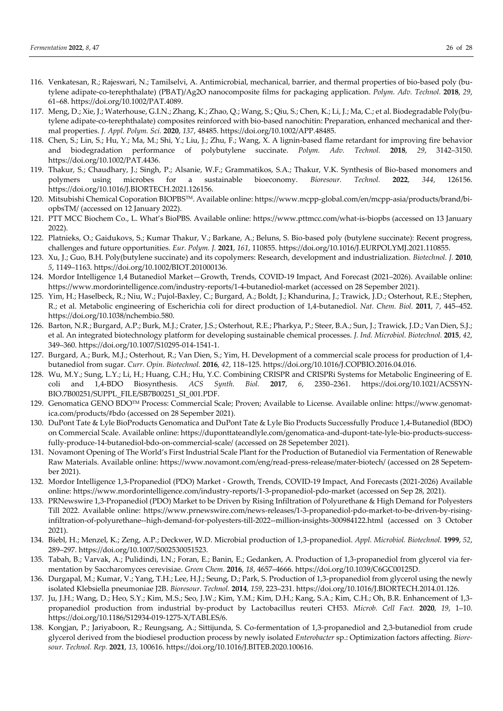- 116. Venkatesan, R.; Rajeswari, N.; Tamilselvi, A. Antimicrobial, mechanical, barrier, and thermal properties of bio-based poly (butylene adipate-co-terephthalate) (PBAT)/Ag2O nanocomposite films for packaging application. *Polym. Adv. Technol.* **2018**, *29*, 61–68. https://doi.org/10.1002/PAT.4089.
- 117. Meng, D.; Xie, J.; Waterhouse, G.I.N.; Zhang, K.; Zhao, Q.; Wang, S.; Qiu, S.; Chen, K.; Li, J.; Ma, C.; et al. Biodegradable Poly(butylene adipate-co-terephthalate) composites reinforced with bio-based nanochitin: Preparation, enhanced mechanical and thermal properties. *J. Appl. Polym. Sci.* **2020**, *137*, 48485. https://doi.org/10.1002/APP.48485.
- 118. Chen, S.; Lin, S.; Hu, Y.; Ma, M.; Shi, Y.; Liu, J.; Zhu, F.; Wang, X. A lignin-based flame retardant for improving fire behavior and biodegradation performance of polybutylene succinate. *Polym. Adv. Technol.* **2018**, *29*, 3142–3150. https://doi.org/10.1002/PAT.4436.
- 119. Thakur, S.; Chaudhary, J.; Singh, P.; Alsanie, W.F.; Grammatikos, S.A.; Thakur, V.K. Synthesis of Bio-based monomers and polymers using microbes for a sustainable bioeconomy. *Bioresour. Technol.* **2022**, *344*, 126156. https://doi.org/10.1016/J.BIORTECH.2021.126156.
- 120. Mitsubishi Chemical Coporation BIOPBSTM. Available online: https://www.mcpp-global.com/en/mcpp-asia/products/brand/biopbsTM/ (accessed on 12 January 2022).
- 121. PTT MCC Biochem Co., L. What's BioPBS. Available online: https://www.pttmcc.com/what-is-biopbs (accessed on 13 January 2022).
- 122. Platnieks, O.; Gaidukovs, S.; Kumar Thakur, V.; Barkane, A.; Beluns, S. Bio-based poly (butylene succinate): Recent progress, challenges and future opportunities. *Eur. Polym. J.* **2021**, *161*, 110855. https://doi.org/10.1016/J.EURPOLYMJ.2021.110855.
- 123. Xu, J.; Guo, B.H. Poly(butylene succinate) and its copolymers: Research, development and industrialization. *Biotechnol. J.* **2010**, *5*, 1149–1163. https://doi.org/10.1002/BIOT.201000136.
- 124. Mordor Intelligence 1,4 Butanediol Market—Growth, Trends, COVID-19 Impact, And Forecast (2021–2026). Available online: https://www.mordorintelligence.com/industry-reports/1-4-butanediol-market (accessed on 28 Sepember 2021).
- 125. Yim, H.; Haselbeck, R.; Niu, W.; Pujol-Baxley, C.; Burgard, A.; Boldt, J.; Khandurina, J.; Trawick, J.D.; Osterhout, R.E.; Stephen, R.; et al. Metabolic engineering of Escherichia coli for direct production of 1,4-butanediol. *Nat. Chem. Biol.* **2011**, *7*, 445–452. https://doi.org/10.1038/nchembio.580.
- 126. Barton, N.R.; Burgard, A.P.; Burk, M.J.; Crater, J.S.; Osterhout, R.E.; Pharkya, P.; Steer, B.A.; Sun, J.; Trawick, J.D.; Van Dien, S.J.; et al. An integrated biotechnology platform for developing sustainable chemical processes. *J. Ind. Microbiol. Biotechnol.* **2015**, *42*, 349–360. https://doi.org/10.1007/S10295-014-1541-1.
- 127. Burgard, A.; Burk, M.J.; Osterhout, R.; Van Dien, S.; Yim, H. Development of a commercial scale process for production of 1,4 butanediol from sugar. *Curr. Opin. Biotechnol.* **2016**, *42*, 118–125. https://doi.org/10.1016/J.COPBIO.2016.04.016.
- 128. Wu, M.Y.; Sung, L.Y.; Li, H.; Huang, C.H.; Hu, Y.C. Combining CRISPR and CRISPRi Systems for Metabolic Engineering of E. coli and 1,4-BDO Biosynthesis. *ACS Synth. Biol.* **2017**, *6*, 2350–2361. https://doi.org/10.1021/ACSSYN-BIO.7B00251/SUPPL\_FILE/SB7B00251\_SI\_001.PDF.
- 129. Genomatica GENO BDOTM Process: Commercial Scale; Proven; Available to License. Available online: https://www.genomatica.com/products/#bdo (accessed on 28 Sepember 2021).
- 130. DuPont Tate & Lyle BioProducts Genomatica and DuPont Tate & Lyle Bio Products Successfully Produce 1,4-Butanediol (BDO) on Commercial Scale. Available online: https://duponttateandlyle.com/genomatica-and-dupont-tate-lyle-bio-products-successfully-produce-14-butanediol-bdo-on-commercial-scale/ (accessed on 28 Sepetember 2021).
- 131. Novamont Opening of The World's First Industrial Scale Plant for the Production of Butanediol via Fermentation of Renewable Raw Materials. Available online: https://www.novamont.com/eng/read-press-release/mater-biotech/ (accessed on 28 Sepetember 2021).
- 132. Mordor Intelligence 1,3-Propanediol (PDO) Market Growth, Trends, COVID-19 Impact, And Forecasts (2021-2026) Available online: https://www.mordorintelligence.com/industry-reports/1-3-propanediol-pdo-market (accessed on Sep 28, 2021).
- 133. PRNewswire 1,3-Propanediol (PDO) Market to be Driven by Rising Infiltration of Polyurethane & High Demand for Polyesters Till 2022. Available online: https://www.prnewswire.com/news-releases/1-3-propanediol-pdo-market-to-be-driven-by-risinginfiltration-of-polyurethane--high-demand-for-polyesters-till-2022--million-insights-300984122.html (accessed on 3 October 2021).
- 134. Biebl, H.; Menzel, K.; Zeng, A.P.; Deckwer, W.D. Microbial production of 1,3-propanediol. *Appl. Microbiol. Biotechnol.* **1999**, *52*, 289–297. https://doi.org/10.1007/S002530051523.
- 135. Tabah, B.; Varvak, A.; Pulidindi, I.N.; Foran, E.; Banin, E.; Gedanken, A. Production of 1,3-propanediol from glycerol via fermentation by Saccharomyces cerevisiae. *Green Chem.* **2016**, *18*, 4657–4666. https://doi.org/10.1039/C6GC00125D.
- 136. Durgapal, M.; Kumar, V.; Yang, T.H.; Lee, H.J.; Seung, D.; Park, S. Production of 1,3-propanediol from glycerol using the newly isolated Klebsiella pneumoniae J2B. *Bioresour. Technol.* **2014**, *159*, 223–231. https://doi.org/10.1016/J.BIORTECH.2014.01.126.
- 137. Ju, J.H.; Wang, D.; Heo, S.Y.; Kim, M.S.; Seo, J.W.; Kim, Y.M.; Kim, D.H.; Kang, S.A.; Kim, C.H.; Oh, B.R. Enhancement of 1,3 propanediol production from industrial by-product by Lactobacillus reuteri CH53. *Microb. Cell Fact.* **2020**, *19*, 1–10. https://doi.org/10.1186/S12934-019-1275-X/TABLES/6.
- 138. Kongjan, P.; Jariyaboon, R.; Reungsang, A.; Sittijunda, S. Co-fermentation of 1,3-propanediol and 2,3-butanediol from crude glycerol derived from the biodiesel production process by newly isolated *Enterobacter* sp.: Optimization factors affecting. *Bioresour. Technol. Rep.* **2021**, *13*, 100616. https://doi.org/10.1016/J.BITEB.2020.100616.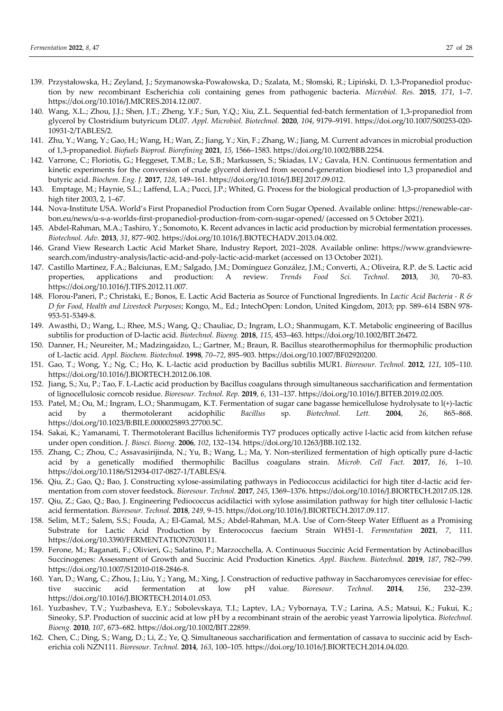- 139. Przystałowska, H.; Zeyland, J.; Szymanowska-Powałowska, D.; Szalata, M.; Słomski, R.; Lipiński, D. 1,3-Propanediol production by new recombinant Escherichia coli containing genes from pathogenic bacteria. *Microbiol. Res.* **2015**, *171*, 1–7. https://doi.org/10.1016/J.MICRES.2014.12.007.
- 140. Wang, X.L.; Zhou, J.J.; Shen, J.T.; Zheng, Y.F.; Sun, Y.Q.; Xiu, Z.L. Sequential fed-batch fermentation of 1,3-propanediol from glycerol by Clostridium butyricum DL07. *Appl. Microbiol. Biotechnol.* **2020**, *104*, 9179–9191. https://doi.org/10.1007/S00253-020- 10931-2/TABLES/2.
- 141. Zhu, Y.; Wang, Y.; Gao, H.; Wang, H.; Wan, Z.; Jiang, Y.; Xin, F.; Zhang, W.; Jiang, M. Current advances in microbial production of 1,3-propanediol. *Biofuels Bioprod. Biorefining* **2021**, *15*, 1566–1583. https://doi.org/10.1002/BBB.2254.
- 142. Varrone, C.; Floriotis, G.; Heggeset, T.M.B.; Le, S.B.; Markussen, S.; Skiadas, I.V.; Gavala, H.N. Continuous fermentation and kinetic experiments for the conversion of crude glycerol derived from second-generation biodiesel into 1,3 propanediol and butyric acid. *Biochem. Eng. J.* **2017**, *128*, 149–161. https://doi.org/10.1016/J.BEJ.2017.09.012.
- 143. Emptage, M.; Haynie, S.L.; Laffend, L.A.; Pucci, J.P.; Whited, G. Process for the biological production of 1,3-propanediol with high titer 2003, 2, 1–67.
- 144. Nova-Institute USA. World's First Propanediol Production from Corn Sugar Opened. Available online: https://renewable-carbon.eu/news/u-s-a-worlds-first-propanediol-production-from-corn-sugar-opened/ (accessed on 5 October 2021).
- 145. Abdel-Rahman, M.A.; Tashiro, Y.; Sonomoto, K. Recent advances in lactic acid production by microbial fermentation processes. *Biotechnol. Adv.* **2013**, *31*, 877–902. https://doi.org/10.1016/J.BIOTECHADV.2013.04.002.
- 146. Grand View Research Lactic Acid Market Share, Industry Report, 2021–2028. Available online: https://www.grandviewresearch.com/industry-analysis/lactic-acid-and-poly-lactic-acid-market (accessed on 13 October 2021).
- 147. Castillo Martinez, F.A.; Balciunas, E.M.; Salgado, J.M.; Domínguez González, J.M.; Converti, A.; Oliveira, R.P. de S. Lactic acid properties, applications and production: A review. *Trends Food Sci. Technol.* **2013**, *30*, 70–83. https://doi.org/10.1016/J.TIFS.2012.11.007.
- 148. Florou-Paneri, P.; Christaki, E.; Bonos, E. Lactic Acid Bacteria as Source of Functional Ingredients. In *Lactic Acid Bacteria - R & D for Food, Health and Livestock Purposes*; Kongo, M., Ed.; IntechOpen: London, United Kingdom, 2013; pp. 589–614 ISBN 978- 953-51-5349-8.
- 149. Awasthi, D.; Wang, L.; Rhee, M.S.; Wang, Q.; Chauliac, D.; Ingram, L.O.; Shanmugam, K.T. Metabolic engineering of Bacillus subtilis for production of D-lactic acid. *Biotechnol. Bioeng.* **2018**, *115*, 453–463. https://doi.org/10.1002/BIT.26472.
- 150. Danner, H.; Neureiter, M.; Madzingaidzo, L.; Gartner, M.; Braun, R. Bacillus stearothermophilus for thermophilic production of L-lactic acid. *Appl. Biochem. Biotechnol.* **1998**, *70*–*72*, 895–903. https://doi.org/10.1007/BF02920200.
- 151. Gao, T.; Wong, Y.; Ng, C.; Ho, K. L-lactic acid production by Bacillus subtilis MUR1. *Bioresour. Technol.* **2012**, *121*, 105–110. https://doi.org/10.1016/J.BIORTECH.2012.06.108.
- 152. Jiang, S.; Xu, P.; Tao, F. L-Lactic acid production by Bacillus coagulans through simultaneous saccharification and fermentation of lignocellulosic corncob residue. *Bioresour. Technol. Rep.* **2019**, *6*, 131–137. https://doi.org/10.1016/J.BITEB.2019.02.005.
- 153. Patel, M.; Ou, M.; Ingram, L.O.; Shanmugam, K.T. Fermentation of sugar cane bagasse hemicellulose hydrolysate to l(+)-lactic acid by a thermotolerant acidophilic *Bacillus* sp. *Biotechnol. Lett.* **2004**, *26*, 865–868. https://doi.org/10.1023/B:BILE.0000025893.27700.5C.
- 154. Sakai, K.; Yamanami, T. Thermotolerant Bacillus licheniformis TY7 produces optically active l-lactic acid from kitchen refuse under open condition. *J. Biosci. Bioeng.* **2006**, *102*, 132–134. https://doi.org/10.1263/JBB.102.132.
- 155. Zhang, C.; Zhou, C.; Assavasirijinda, N.; Yu, B.; Wang, L.; Ma, Y. Non-sterilized fermentation of high optically pure d-lactic acid by a genetically modified thermophilic Bacillus coagulans strain. *Microb. Cell Fact.* **2017**, *16*, 1–10. https://doi.org/10.1186/S12934-017-0827-1/TABLES/4.
- 156. Qiu, Z.; Gao, Q.; Bao, J. Constructing xylose-assimilating pathways in Pediococcus acidilactici for high titer d-lactic acid fermentation from corn stover feedstock. *Bioresour. Technol.* **2017**, *245*, 1369–1376. https://doi.org/10.1016/J.BIORTECH.2017.05.128.
- 157. Qiu, Z.; Gao, Q.; Bao, J. Engineering Pediococcus acidilactici with xylose assimilation pathway for high titer cellulosic l-lactic acid fermentation. *Bioresour. Technol.* **2018**, *249*, 9–15. https://doi.org/10.1016/J.BIORTECH.2017.09.117.
- 158. Selim, M.T.; Salem, S.S.; Fouda, A.; El-Gamal, M.S.; Abdel-Rahman, M.A. Use of Corn-Steep Water Effluent as a Promising Substrate for Lactic Acid Production by Enterococcus faecium Strain WH51-1. *Fermentation* **2021**, *7*, 111. https://doi.org/10.3390/FERMENTATION7030111.
- 159. Ferone, M.; Raganati, F.; Olivieri, G.; Salatino, P.; Marzocchella, A. Continuous Succinic Acid Fermentation by Actinobacillus Succinogenes: Assessment of Growth and Succinic Acid Production Kinetics. *Appl. Biochem. Biotechnol.* **2019**, *187*, 782–799. https://doi.org/10.1007/S12010-018-2846-8.
- 160. Yan, D.; Wang, C.; Zhou, J.; Liu, Y.; Yang, M.; Xing, J. Construction of reductive pathway in Saccharomyces cerevisiae for effective succinic acid fermentation at low pH value. *Bioresour. Technol.* **2014**, *156*, 232–239. https://doi.org/10.1016/J.BIORTECH.2014.01.053.
- 161. Yuzbashev, T.V.; Yuzbasheva, E.Y.; Sobolevskaya, T.I.; Laptev, I.A.; Vybornaya, T.V.; Larina, A.S.; Matsui, K.; Fukui, K.; Sineoky, S.P. Production of succinic acid at low pH by a recombinant strain of the aerobic yeast Yarrowia lipolytica. *Biotechnol. Bioeng.* **2010**, *107*, 673–682. https://doi.org/10.1002/BIT.22859.
- 162. Chen, C.; Ding, S.; Wang, D.; Li, Z.; Ye, Q. Simultaneous saccharification and fermentation of cassava to succinic acid by Escherichia coli NZN111. *Bioresour. Technol.* **2014**, *163*, 100–105. https://doi.org/10.1016/J.BIORTECH.2014.04.020.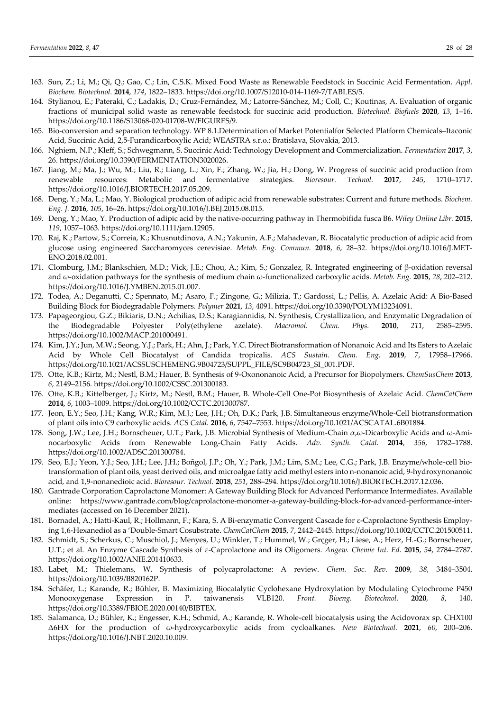- 163. Sun, Z.; Li, M.; Qi, Q.; Gao, C.; Lin, C.S.K. Mixed Food Waste as Renewable Feedstock in Succinic Acid Fermentation. *Appl. Biochem. Biotechnol.* **2014**, *174*, 1822–1833. https://doi.org/10.1007/S12010-014-1169-7/TABLES/5.
- 164. Stylianou, E.; Pateraki, C.; Ladakis, D.; Cruz-Fernández, M.; Latorre-Sánchez, M.; Coll, C.; Koutinas, A. Evaluation of organic fractions of municipal solid waste as renewable feedstock for succinic acid production. *Biotechnol. Biofuels* **2020**, *13*, 1–16. https://doi.org/10.1186/S13068-020-01708-W/FIGURES/9.
- 165. Bio-conversion and separation technology. WP 8.1.Determination of Market Potentialfor Selected Platform Chemicals–Itaconic Acid, Succinic Acid, 2,5-Furandicarboxylic Acid; WEASTRA s.r.o.: Bratislava, Slovakia, 2013.
- 166. Nghiem, N.P.; Kleff, S.; Schwegmann, S. Succinic Acid: Technology Development and Commercialization. *Fermentation* **2017**, *3*, 26. https://doi.org/10.3390/FERMENTATION3020026.
- 167. Jiang, M.; Ma, J.; Wu, M.; Liu, R.; Liang, L.; Xin, F.; Zhang, W.; Jia, H.; Dong, W. Progress of succinic acid production from renewable resources: Metabolic and fermentative strategies. *Bioresour. Technol.* **2017**, *245*, 1710–1717. https://doi.org/10.1016/J.BIORTECH.2017.05.209.
- 168. Deng, Y.; Ma, L.; Mao, Y. Biological production of adipic acid from renewable substrates: Current and future methods. *Biochem. Eng. J.* **2016**, *105*, 16–26. https://doi.org/10.1016/J.BEJ.2015.08.015.
- 169. Deng, Y.; Mao, Y. Production of adipic acid by the native-occurring pathway in Thermobifida fusca B6. *Wiley Online Libr.* **2015**, *119*, 1057–1063. https://doi.org/10.1111/jam.12905.
- 170. Raj, K.; Partow, S.; Correia, K.; Khusnutdinova, A.N.; Yakunin, A.F.; Mahadevan, R. Biocatalytic production of adipic acid from glucose using engineered Saccharomyces cerevisiae. *Metab. Eng. Commun.* **2018**, *6*, 28–32. https://doi.org/10.1016/J.MET-ENO.2018.02.001.
- 171. Clomburg, J.M.; Blankschien, M.D.; Vick, J.E.; Chou, A.; Kim, S.; Gonzalez, R. Integrated engineering of β-oxidation reversal and ω-oxidation pathways for the synthesis of medium chain ω-functionalized carboxylic acids. *Metab. Eng.* **2015**, *28*, 202–212. https://doi.org/10.1016/J.YMBEN.2015.01.007.
- 172. Todea, A.; Deganutti, C.; Spennato, M.; Asaro, F.; Zingone, G.; Milizia, T.; Gardossi, L.; Pellis, A. Azelaic Acid: A Bio-Based Building Block for Biodegradable Polymers. *Polymer* **2021**, *13*, 4091. https://doi.org/10.3390/POLYM13234091.
- 173. Papageorgiou, G.Z.; Bikiaris, D.N.; Achilias, D.S.; Karagiannidis, N. Synthesis, Crystallization, and Enzymatic Degradation of the Biodegradable Polyester Poly(ethylene azelate). *Macromol. Chem. Phys.* **2010**, *211*, 2585–2595. https://doi.org/10.1002/MACP.201000491.
- 174. Kim, J.Y.; Jun, M.W.; Seong, Y.J.; Park, H.; Ahn, J.; Park, Y.C. Direct Biotransformation of Nonanoic Acid and Its Esters to Azelaic Acid by Whole Cell Biocatalyst of Candida tropicalis. *ACS Sustain. Chem. Eng.* **2019**, *7*, 17958–17966. https://doi.org/10.1021/ACSSUSCHEMENG.9B04723/SUPPL\_FILE/SC9B04723\_SI\_001.PDF.
- 175. Otte, K.B.; Kirtz, M.; Nestl, B.M.; Hauer, B. Synthesis of 9-Oxononanoic Acid, a Precursor for Biopolymers. *ChemSusChem* **2013**, *6*, 2149–2156. https://doi.org/10.1002/CSSC.201300183.
- 176. Otte, K.B.; Kittelberger, J.; Kirtz, M.; Nestl, B.M.; Hauer, B. Whole-Cell One-Pot Biosynthesis of Azelaic Acid. *ChemCatChem* **2014**, *6*, 1003–1009. https://doi.org/10.1002/CCTC.201300787.
- 177. Jeon, E.Y.; Seo, J.H.; Kang, W.R.; Kim, M.J.; Lee, J.H.; Oh, D.K.; Park, J.B. Simultaneous enzyme/Whole-Cell biotransformation of plant oils into C9 carboxylic acids. *ACS Catal.* **2016**, *6*, 7547–7553. https://doi.org/10.1021/ACSCATAL.6B01884.
- 178. Song, J.W.; Lee, J.H.; Bornscheuer, U.T.; Park, J.B. Microbial Synthesis of Medium-Chain α,ω-Dicarboxylic Acids and ω-Aminocarboxylic Acids from Renewable Long-Chain Fatty Acids. *Adv. Synth. Catal.* **2014**, *356*, 1782–1788. https://doi.org/10.1002/ADSC.201300784.
- 179. Seo, E.J.; Yeon, Y.J.; Seo, J.H.; Lee, J.H.; Boñgol, J.P.; Oh, Y.; Park, J.M.; Lim, S.M.; Lee, C.G.; Park, J.B. Enzyme/whole-cell biotransformation of plant oils, yeast derived oils, and microalgae fatty acid methyl esters into n-nonanoic acid, 9-hydroxynonanoic acid, and 1,9-nonanedioic acid. *Bioresour. Technol.* **2018**, *251*, 288–294. https://doi.org/10.1016/J.BIORTECH.2017.12.036.
- 180. Gantrade Corporation Caprolactone Monomer: A Gateway Building Block for Advanced Performance Intermediates. Available online: https://www.gantrade.com/blog/caprolactone-monomer-a-gateway-building-block-for-advanced-performance-intermediates (accessed on 16 December 2021).
- 181. Bornadel, A.; Hatti-Kaul, R.; Hollmann, F.; Kara, S. A Bi-enzymatic Convergent Cascade for ε-Caprolactone Synthesis Employing 1,6-Hexanediol as a 'Double-Smart Cosubstrate. *ChemCatChem* **2015**, *7*, 2442–2445. https://doi.org/10.1002/CCTC.201500511.
- 182. Schmidt, S.; Scherkus, C.; Muschiol, J.; Menyes, U.; Winkler, T.; Hummel, W.; Grçger, H.; Liese, A.; Herz, H.-G.; Bornscheuer, U.T.; et al. An Enzyme Cascade Synthesis of ε-Caprolactone and its Oligomers. *Angew. Chemie Int. Ed.* **2015**, *54*, 2784–2787. https://doi.org/10.1002/ANIE.201410633.
- 183. Labet, M.; Thielemans, W. Synthesis of polycaprolactone: A review. *Chem. Soc. Rev.* **2009**, *38*, 3484–3504. https://doi.org/10.1039/B820162P.
- 184. Schäfer, L.; Karande, R.; Bühler, B. Maximizing Biocatalytic Cyclohexane Hydroxylation by Modulating Cytochrome P450 Monooxygenase Expression in P. taiwanensis VLB120. *Front. Bioeng. Biotechnol.* **2020**, *8*, 140. https://doi.org/10.3389/FBIOE.2020.00140/BIBTEX.
- 185. Salamanca, D.; Bühler, K.; Engesser, K.H.; Schmid, A.; Karande, R. Whole-cell biocatalysis using the Acidovorax sp. CHX100 Δ6HX for the production of ω-hydroxycarboxylic acids from cycloalkanes. *New Biotechnol.* **2021**, *60*, 200–206. https://doi.org/10.1016/J.NBT.2020.10.009.